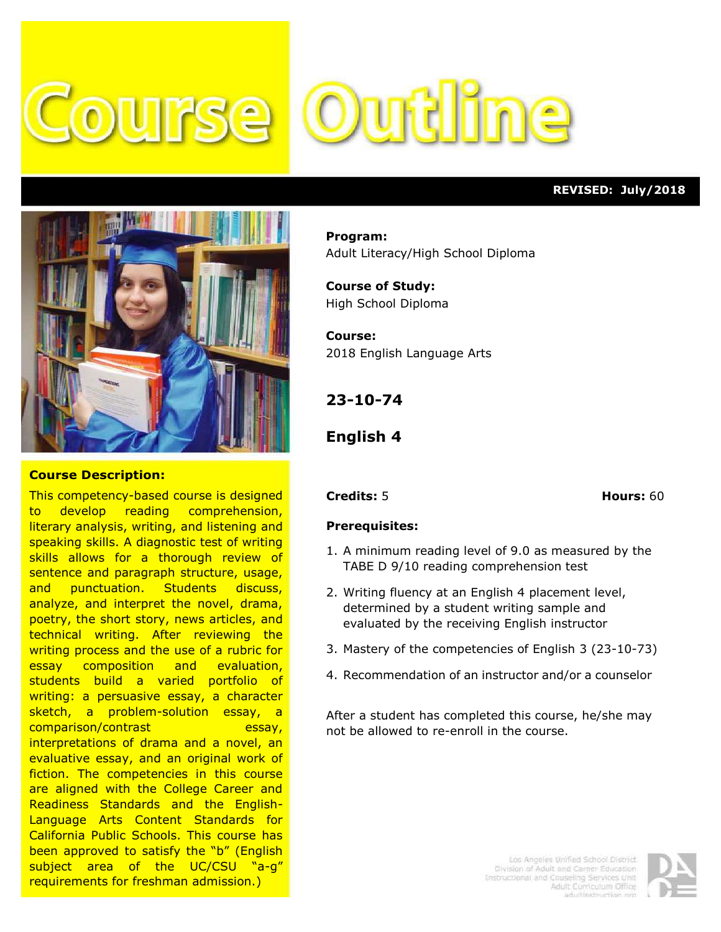# **Outline** ONINS

## **REVISED: July/2018**



### **Course Description:**

This competency-based course is designed to develop reading comprehension, literary analysis, writing, and listening and speaking skills. A diagnostic test of writing skills allows for a thorough review of sentence and paragraph structure, usage, and punctuation. Students discuss, analyze, and interpret the novel, drama, poetry, the short story, news articles, and technical writing. After reviewing the writing process and the use of a rubric for essay composition and evaluation, students build a varied portfolio of writing: a persuasive essay, a character sketch, a problem-solution essay, a comparison/contrast essay, interpretations of drama and a novel, an evaluative essay, and an original work of fiction. The competencies in this course are aligned with the College Career and Readiness Standards and the English-Language Arts Content Standards for California Public Schools. This course has been approved to satisfy the "b" (English subject area of the UC/CSU "a-q" requirements for freshman admission.)

**Program:** Adult Literacy/High School Diploma

**Course of Study:** High School Diploma

**Course:** 2018 English Language Arts

**23-10-74**

**English 4**

### **Credits:** 5 **Hours:** 60

### **Prerequisites:**

- 1. A minimum reading level of 9.0 as measured by the TABE D 9/10 reading comprehension test
- 2. Writing fluency at an English 4 placement level, determined by a student writing sample and evaluated by the receiving English instructor
- 3. Mastery of the competencies of English 3 (23-10-73)
- 4. Recommendation of an instructor and/or a counselor

After a student has completed this course, he/she may not be allowed to re-enroll in the course.

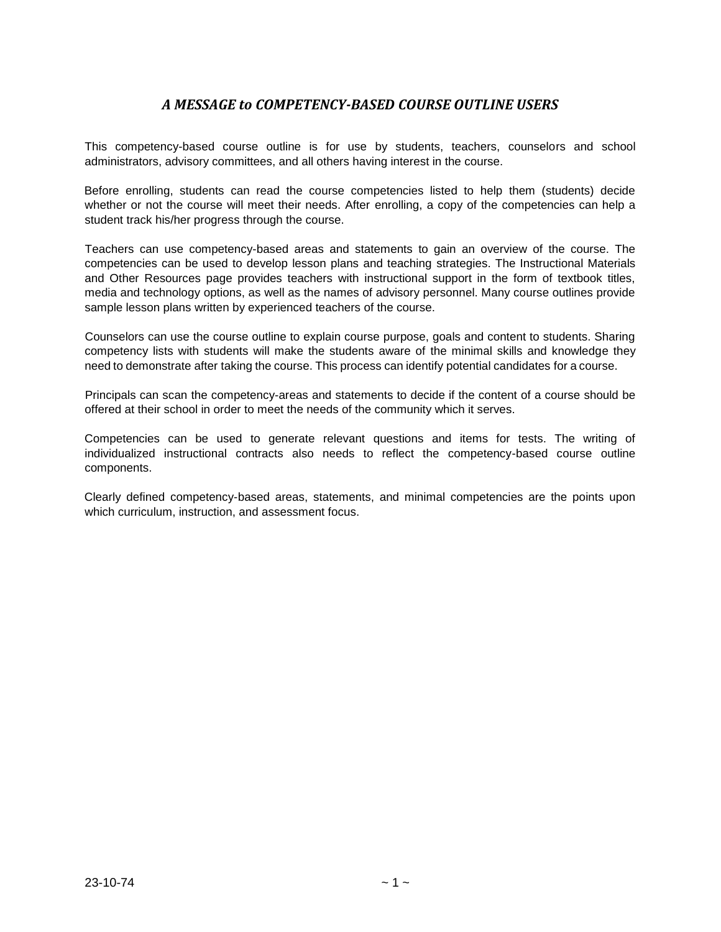## *A MESSAGE to COMPETENCY-BASED COURSE OUTLINE USERS*

This competency-based course outline is for use by students, teachers, counselors and school administrators, advisory committees, and all others having interest in the course.

Before enrolling, students can read the course competencies listed to help them (students) decide whether or not the course will meet their needs. After enrolling, a copy of the competencies can help a student track his/her progress through the course.

Teachers can use competency-based areas and statements to gain an overview of the course. The competencies can be used to develop lesson plans and teaching strategies. The Instructional Materials and Other Resources page provides teachers with instructional support in the form of textbook titles, media and technology options, as well as the names of advisory personnel. Many course outlines provide sample lesson plans written by experienced teachers of the course.

Counselors can use the course outline to explain course purpose, goals and content to students. Sharing competency lists with students will make the students aware of the minimal skills and knowledge they need to demonstrate after taking the course. This process can identify potential candidates for a course.

Principals can scan the competency-areas and statements to decide if the content of a course should be offered at their school in order to meet the needs of the community which it serves.

Competencies can be used to generate relevant questions and items for tests. The writing of individualized instructional contracts also needs to reflect the competency-based course outline components.

Clearly defined competency-based areas, statements, and minimal competencies are the points upon which curriculum, instruction, and assessment focus.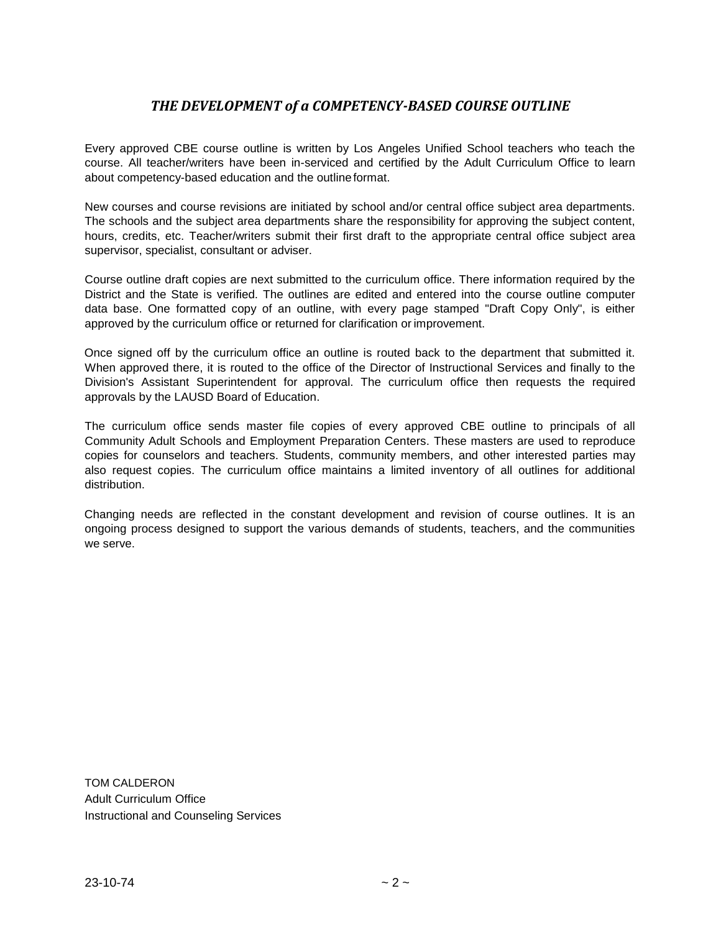## *THE DEVELOPMENT of a COMPETENCY-BASED COURSE OUTLINE*

Every approved CBE course outline is written by Los Angeles Unified School teachers who teach the course. All teacher/writers have been in-serviced and certified by the Adult Curriculum Office to learn about competency-based education and the outlineformat.

New courses and course revisions are initiated by school and/or central office subject area departments. The schools and the subject area departments share the responsibility for approving the subject content, hours, credits, etc. Teacher/writers submit their first draft to the appropriate central office subject area supervisor, specialist, consultant or adviser.

Course outline draft copies are next submitted to the curriculum office. There information required by the District and the State is verified. The outlines are edited and entered into the course outline computer data base. One formatted copy of an outline, with every page stamped "Draft Copy Only", is either approved by the curriculum office or returned for clarification or improvement.

Once signed off by the curriculum office an outline is routed back to the department that submitted it. When approved there, it is routed to the office of the Director of Instructional Services and finally to the Division's Assistant Superintendent for approval. The curriculum office then requests the required approvals by the LAUSD Board of Education.

The curriculum office sends master file copies of every approved CBE outline to principals of all Community Adult Schools and Employment Preparation Centers. These masters are used to reproduce copies for counselors and teachers. Students, community members, and other interested parties may also request copies. The curriculum office maintains a limited inventory of all outlines for additional distribution.

Changing needs are reflected in the constant development and revision of course outlines. It is an ongoing process designed to support the various demands of students, teachers, and the communities we serve.

TOM CALDERON Adult Curriculum Office Instructional and Counseling Services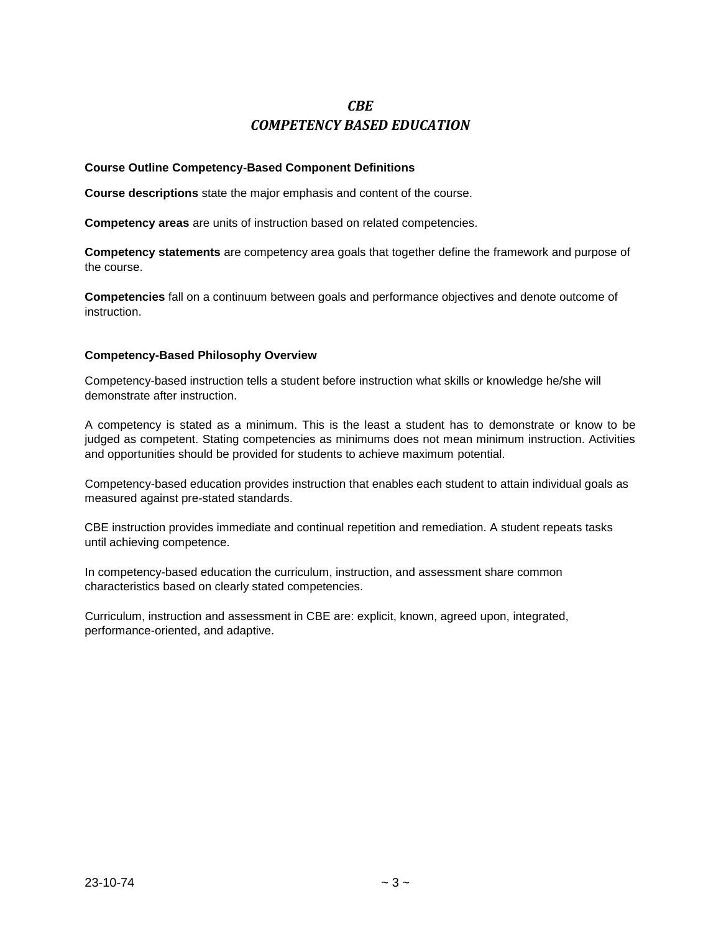## *CBE COMPETENCY BASED EDUCATION*

#### **Course Outline Competency-Based Component Definitions**

**Course descriptions** state the major emphasis and content of the course.

**Competency areas** are units of instruction based on related competencies.

**Competency statements** are competency area goals that together define the framework and purpose of the course.

**Competencies** fall on a continuum between goals and performance objectives and denote outcome of instruction.

#### **Competency-Based Philosophy Overview**

Competency-based instruction tells a student before instruction what skills or knowledge he/she will demonstrate after instruction.

A competency is stated as a minimum. This is the least a student has to demonstrate or know to be judged as competent. Stating competencies as minimums does not mean minimum instruction. Activities and opportunities should be provided for students to achieve maximum potential.

Competency-based education provides instruction that enables each student to attain individual goals as measured against pre-stated standards.

CBE instruction provides immediate and continual repetition and remediation. A student repeats tasks until achieving competence.

In competency-based education the curriculum, instruction, and assessment share common characteristics based on clearly stated competencies.

Curriculum, instruction and assessment in CBE are: explicit, known, agreed upon, integrated, performance-oriented, and adaptive.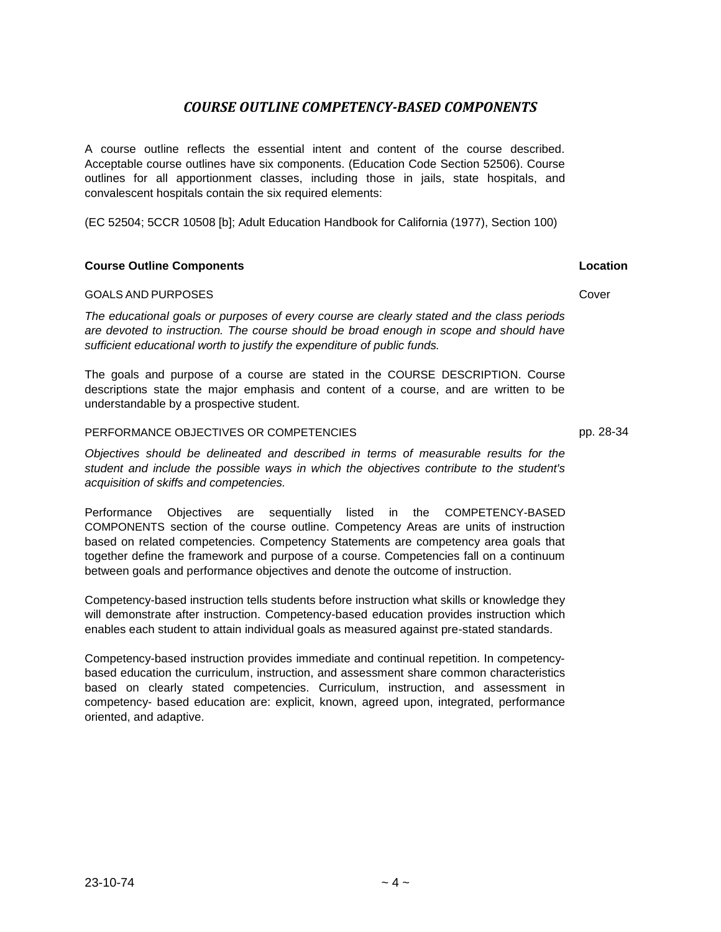## *COURSE OUTLINE COMPETENCY-BASED COMPONENTS*

A course outline reflects the essential intent and content of the course described. Acceptable course outlines have six components. (Education Code Section 52506). Course outlines for all apportionment classes, including those in jails, state hospitals, and convalescent hospitals contain the six required elements:

(EC 52504; 5CCR 10508 [b]; Adult Education Handbook for California (1977), Section 100)

#### **Course Outline Components**

#### GOALS AND PURPOSES

*The educational goals or purposes of every course are clearly stated and the class periods are devoted to instruction. The course should be broad enough in scope and should have sufficient educational worth to justify the expenditure of public funds.*

The goals and purpose of a course are stated in the COURSE DESCRIPTION. Course descriptions state the major emphasis and content of a course, and are written to be understandable by a prospective student.

#### PERFORMANCE OBJECTIVES OR COMPETENCIES

*Objectives should be delineated and described in terms of measurable results for the student and include the possible ways in which the objectives contribute to the student's acquisition of skiffs and competencies.*

Performance Objectives are sequentially listed in the COMPETENCY-BASED COMPONENTS section of the course outline. Competency Areas are units of instruction based on related competencies. Competency Statements are competency area goals that together define the framework and purpose of a course. Competencies fall on a continuum between goals and performance objectives and denote the outcome of instruction.

Competency-based instruction tells students before instruction what skills or knowledge they will demonstrate after instruction. Competency-based education provides instruction which enables each student to attain individual goals as measured against pre-stated standards.

Competency-based instruction provides immediate and continual repetition. In competencybased education the curriculum, instruction, and assessment share common characteristics based on clearly stated competencies. Curriculum, instruction, and assessment in competency- based education are: explicit, known, agreed upon, integrated, performance oriented, and adaptive.

pp. 28-34

**Location**

Cover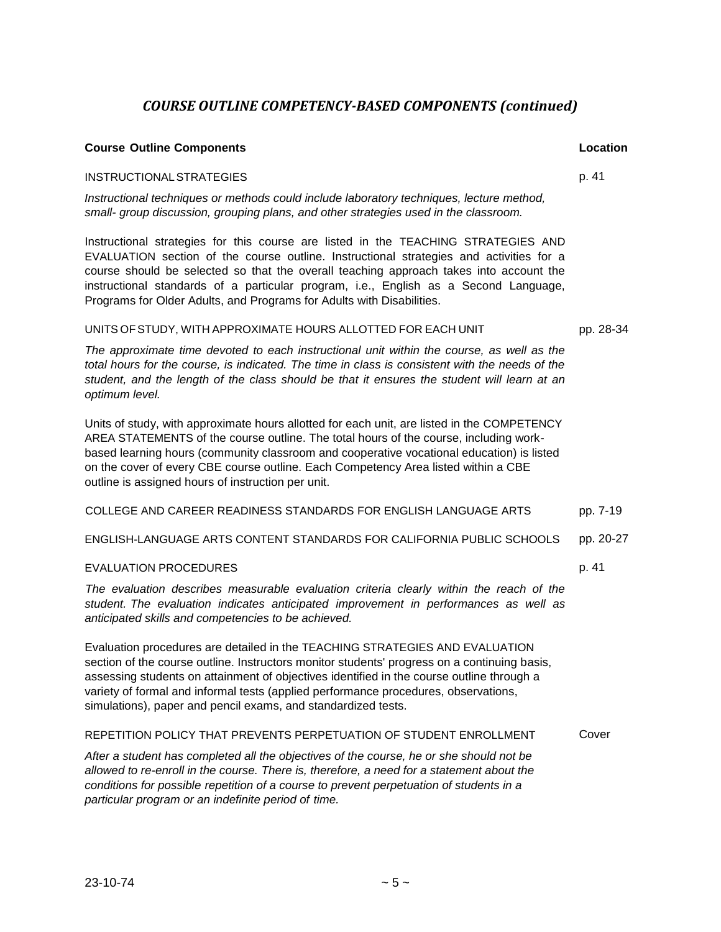## *COURSE OUTLINE COMPETENCY-BASED COMPONENTS (continued)*

#### **Course Outline Components**

#### INSTRUCTIONALSTRATEGIES

*Instructional techniques or methods could include laboratory techniques, lecture method, small- group discussion, grouping plans, and other strategies used in the classroom.*

Instructional strategies for this course are listed in the TEACHING STRATEGIES AND EVALUATION section of the course outline. Instructional strategies and activities for a course should be selected so that the overall teaching approach takes into account the instructional standards of a particular program, i.e., English as a Second Language, Programs for Older Adults, and Programs for Adults with Disabilities.

#### UNITS OFSTUDY, WITH APPROXIMATE HOURS ALLOTTED FOR EACH UNIT

*The approximate time devoted to each instructional unit within the course, as well as the total hours for the course, is indicated. The time in class is consistent with the needs of the student, and the length of the class should be that it ensures the student will learn at an optimum level.*

Units of study, with approximate hours allotted for each unit, are listed in the COMPETENCY AREA STATEMENTS of the course outline. The total hours of the course, including workbased learning hours (community classroom and cooperative vocational education) is listed on the cover of every CBE course outline. Each Competency Area listed within a CBE outline is assigned hours of instruction per unit.

#### COLLEGE AND CAREER READINESS STANDARDS FOR ENGLISH LANGUAGE ARTS pp. 7-19

ENGLISH-LANGUAGE ARTS CONTENT STANDARDS FOR CALIFORNIA PUBLIC SCHOOLS pp. 20-27

#### EVALUATION PROCEDURES

*The evaluation describes measurable evaluation criteria clearly within the reach of the student. The evaluation indicates anticipated improvement in performances as well as anticipated skills and competencies to be achieved.*

Evaluation procedures are detailed in the TEACHING STRATEGIES AND EVALUATION section of the course outline. Instructors monitor students' progress on a continuing basis, assessing students on attainment of objectives identified in the course outline through a variety of formal and informal tests (applied performance procedures, observations, simulations), paper and pencil exams, and standardized tests.

#### REPETITION POLICY THAT PREVENTS PERPETUATION OF STUDENT ENROLLMENT Cover

*After a student has completed all the objectives of the course, he or she should not be allowed to re-enroll in the course. There is, therefore, a need for a statement about the conditions for possible repetition of a course to prevent perpetuation of students in a particular program or an indefinite period of time.*

**Location**

pp. 28-34

p. 41

p. 41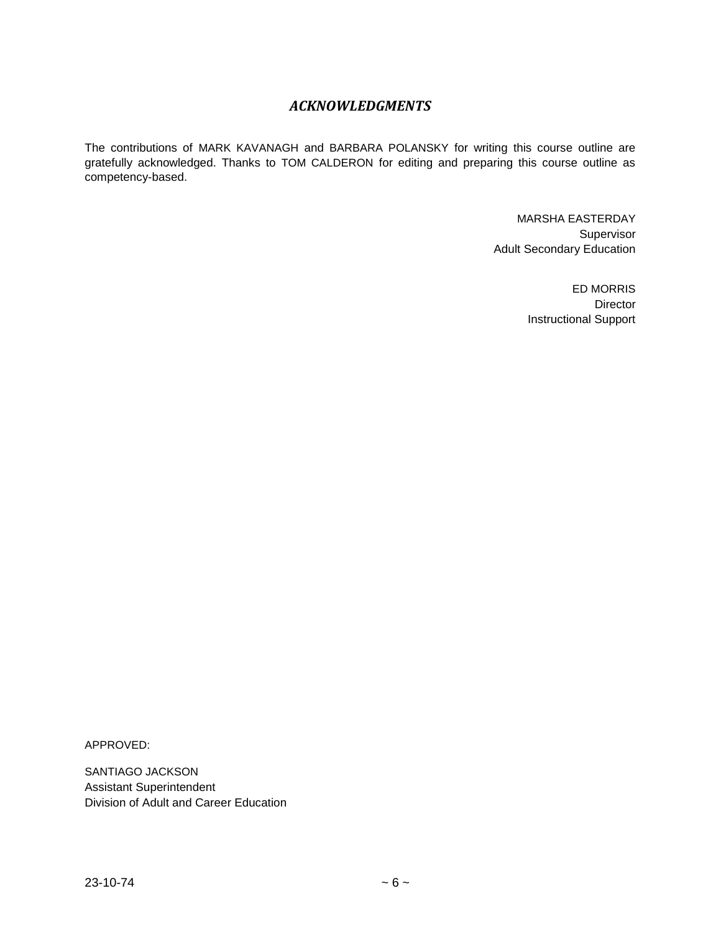## *ACKNOWLEDGMENTS*

The contributions of MARK KAVANAGH and BARBARA POLANSKY for writing this course outline are gratefully acknowledged. Thanks to TOM CALDERON for editing and preparing this course outline as competency-based.

> MARSHA EASTERDAY Supervisor Adult Secondary Education

> > ED MORRIS **Director** Instructional Support

APPROVED:

SANTIAGO JACKSON Assistant Superintendent Division of Adult and Career Education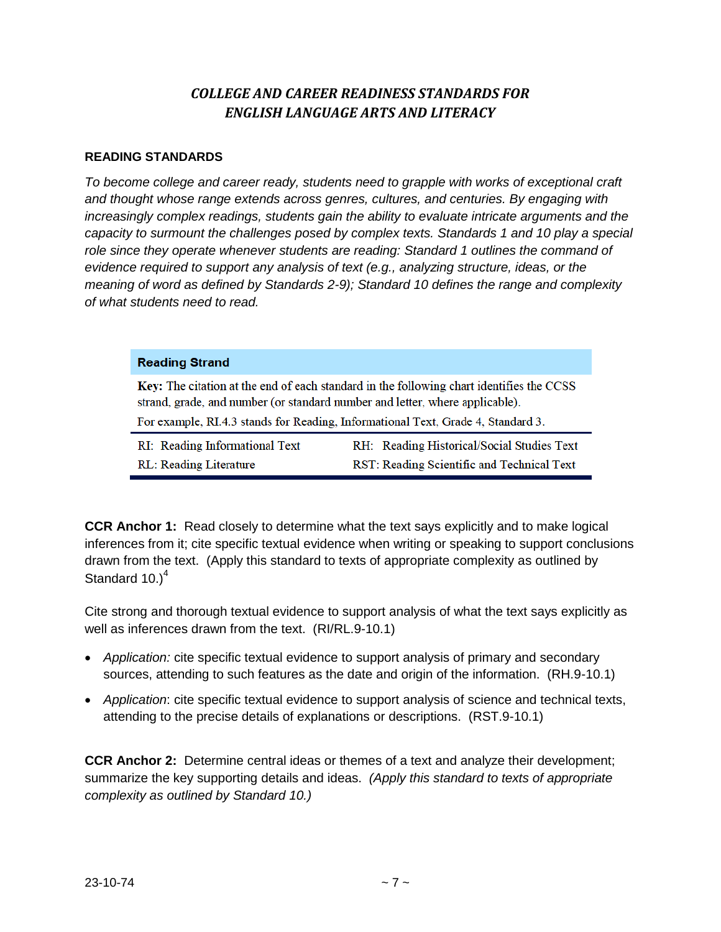#### **READING STANDARDS**

*To become college and career ready, students need to grapple with works of exceptional craft and thought whose range extends across genres, cultures, and centuries. By engaging with increasingly complex readings, students gain the ability to evaluate intricate arguments and the capacity to surmount the challenges posed by complex texts. Standards 1 and 10 play a special role since they operate whenever students are reading: Standard 1 outlines the command of evidence required to support any analysis of text (e.g., analyzing structure, ideas, or the meaning of word as defined by Standards 2-9); Standard 10 defines the range and complexity of what students need to read.* 

#### **Reading Strand**

Key: The citation at the end of each standard in the following chart identifies the CCSS strand, grade, and number (or standard number and letter, where applicable).

For example, RI.4.3 stands for Reading, Informational Text, Grade 4, Standard 3.

| RI: Reading Informational Text | RH: Reading Historical/Social Studies Text |
|--------------------------------|--------------------------------------------|
| <b>RL:</b> Reading Literature  | RST: Reading Scientific and Technical Text |

**CCR Anchor 1:** Read closely to determine what the text says explicitly and to make logical inferences from it; cite specific textual evidence when writing or speaking to support conclusions drawn from the text. (Apply this standard to texts of appropriate complexity as outlined by Standard  $10.1<sup>4</sup>$ 

Cite strong and thorough textual evidence to support analysis of what the text says explicitly as well as inferences drawn from the text. (RI/RL.9-10.1)

- *Application:* cite specific textual evidence to support analysis of primary and secondary sources, attending to such features as the date and origin of the information. (RH.9-10.1)
- *Application*: cite specific textual evidence to support analysis of science and technical texts, attending to the precise details of explanations or descriptions. (RST.9-10.1)

**CCR Anchor 2:** Determine central ideas or themes of a text and analyze their development; summarize the key supporting details and ideas. *(Apply this standard to texts of appropriate complexity as outlined by Standard 10.)*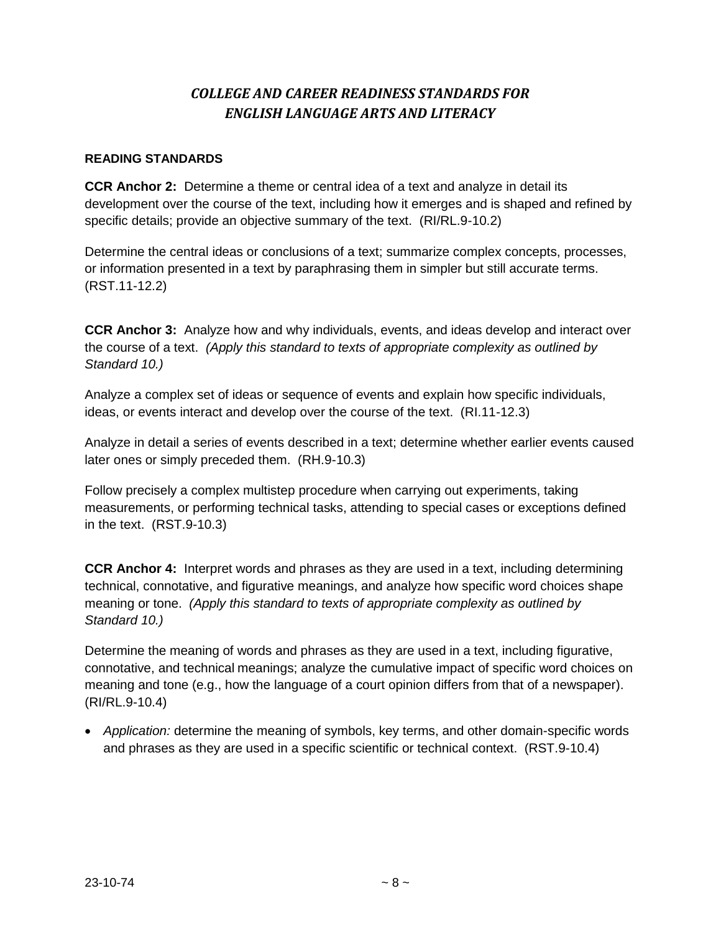## **READING STANDARDS**

**CCR Anchor 2:** Determine a theme or central idea of a text and analyze in detail its development over the course of the text, including how it emerges and is shaped and refined by specific details; provide an objective summary of the text. (RI/RL.9-10.2)

Determine the central ideas or conclusions of a text; summarize complex concepts, processes, or information presented in a text by paraphrasing them in simpler but still accurate terms. (RST.11-12.2)

**CCR Anchor 3:** Analyze how and why individuals, events, and ideas develop and interact over the course of a text. *(Apply this standard to texts of appropriate complexity as outlined by Standard 10.)*

Analyze a complex set of ideas or sequence of events and explain how specific individuals, ideas, or events interact and develop over the course of the text. (RI.11-12.3)

Analyze in detail a series of events described in a text; determine whether earlier events caused later ones or simply preceded them. (RH.9-10.3)

Follow precisely a complex multistep procedure when carrying out experiments, taking measurements, or performing technical tasks, attending to special cases or exceptions defined in the text. (RST.9-10.3)

**CCR Anchor 4:** Interpret words and phrases as they are used in a text, including determining technical, connotative, and figurative meanings, and analyze how specific word choices shape meaning or tone. *(Apply this standard to texts of appropriate complexity as outlined by Standard 10.)*

Determine the meaning of words and phrases as they are used in a text, including figurative, connotative, and technical meanings; analyze the cumulative impact of specific word choices on meaning and tone (e.g., how the language of a court opinion differs from that of a newspaper). (RI/RL.9-10.4)

 *Application:* determine the meaning of symbols, key terms, and other domain-specific words and phrases as they are used in a specific scientific or technical context. (RST.9-10.4)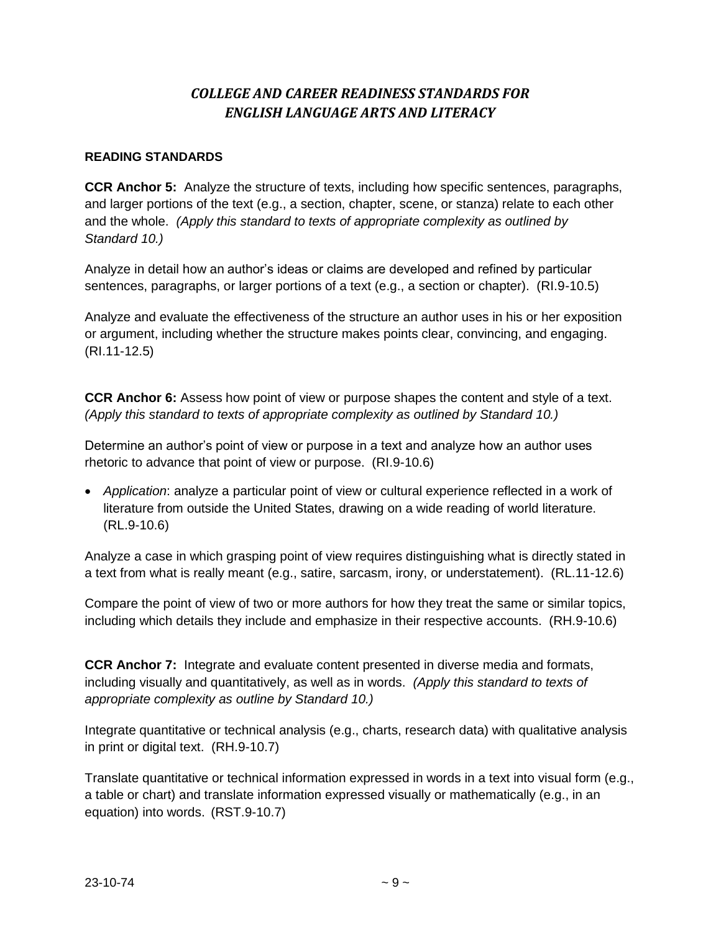#### **READING STANDARDS**

**CCR Anchor 5:** Analyze the structure of texts, including how specific sentences, paragraphs, and larger portions of the text (e.g., a section, chapter, scene, or stanza) relate to each other and the whole. *(Apply this standard to texts of appropriate complexity as outlined by Standard 10.)*

Analyze in detail how an author's ideas or claims are developed and refined by particular sentences, paragraphs, or larger portions of a text (e.g., a section or chapter). (RI.9-10.5)

Analyze and evaluate the effectiveness of the structure an author uses in his or her exposition or argument, including whether the structure makes points clear, convincing, and engaging. (RI.11-12.5)

**CCR Anchor 6:** Assess how point of view or purpose shapes the content and style of a text. *(Apply this standard to texts of appropriate complexity as outlined by Standard 10.)*

Determine an author's point of view or purpose in a text and analyze how an author uses rhetoric to advance that point of view or purpose. (RI.9-10.6)

 *Application*: analyze a particular point of view or cultural experience reflected in a work of literature from outside the United States, drawing on a wide reading of world literature. (RL.9-10.6)

Analyze a case in which grasping point of view requires distinguishing what is directly stated in a text from what is really meant (e.g., satire, sarcasm, irony, or understatement). (RL.11-12.6)

Compare the point of view of two or more authors for how they treat the same or similar topics, including which details they include and emphasize in their respective accounts. (RH.9-10.6)

**CCR Anchor 7:** Integrate and evaluate content presented in diverse media and formats, including visually and quantitatively, as well as in words. *(Apply this standard to texts of appropriate complexity as outline by Standard 10.)*

Integrate quantitative or technical analysis (e.g., charts, research data) with qualitative analysis in print or digital text. (RH.9-10.7)

Translate quantitative or technical information expressed in words in a text into visual form (e.g., a table or chart) and translate information expressed visually or mathematically (e.g., in an equation) into words. (RST.9-10.7)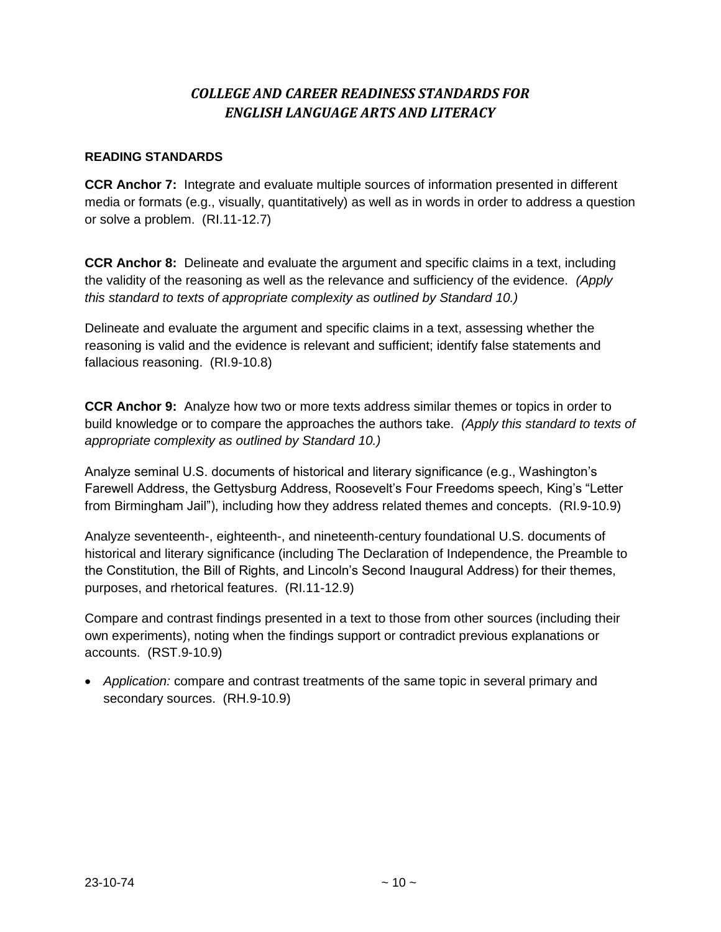#### **READING STANDARDS**

**CCR Anchor 7:** Integrate and evaluate multiple sources of information presented in different media or formats (e.g., visually, quantitatively) as well as in words in order to address a question or solve a problem. (RI.11-12.7)

**CCR Anchor 8:** Delineate and evaluate the argument and specific claims in a text, including the validity of the reasoning as well as the relevance and sufficiency of the evidence. *(Apply this standard to texts of appropriate complexity as outlined by Standard 10.)*

Delineate and evaluate the argument and specific claims in a text, assessing whether the reasoning is valid and the evidence is relevant and sufficient; identify false statements and fallacious reasoning. (RI.9-10.8)

**CCR Anchor 9:** Analyze how two or more texts address similar themes or topics in order to build knowledge or to compare the approaches the authors take. *(Apply this standard to texts of appropriate complexity as outlined by Standard 10.)*

Analyze seminal U.S. documents of historical and literary significance (e.g., Washington's Farewell Address, the Gettysburg Address, Roosevelt's Four Freedoms speech, King's "Letter from Birmingham Jail"), including how they address related themes and concepts. (RI.9-10.9)

Analyze seventeenth-, eighteenth-, and nineteenth-century foundational U.S. documents of historical and literary significance (including The Declaration of Independence, the Preamble to the Constitution, the Bill of Rights, and Lincoln's Second Inaugural Address) for their themes, purposes, and rhetorical features. (RI.11-12.9)

Compare and contrast findings presented in a text to those from other sources (including their own experiments), noting when the findings support or contradict previous explanations or accounts. (RST.9-10.9)

 *Application:* compare and contrast treatments of the same topic in several primary and secondary sources. (RH.9-10.9)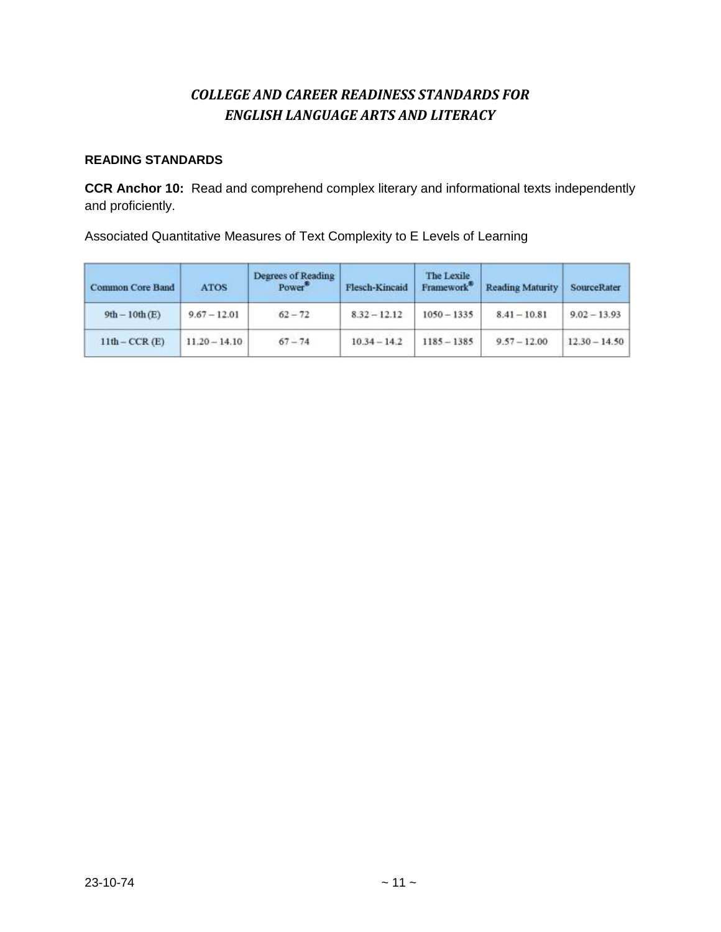### **READING STANDARDS**

**CCR Anchor 10:** Read and comprehend complex literary and informational texts independently and proficiently.

Associated Quantitative Measures of Text Complexity to E Levels of Learning

| <b>Common Core Band</b> | <b>ATOS</b>     | Degrees of Reading<br>Power | Flesch-Kincaid | The Lexile<br>Framework <sup>*</sup> | <b>Reading Maturity</b> | SourceRater     |  |
|-------------------------|-----------------|-----------------------------|----------------|--------------------------------------|-------------------------|-----------------|--|
| $9th - 10th(E)$         | $9.67 - 12.01$  | $62 - 72$                   | $8.32 - 12.12$ | $1050 - 1335$                        | $8.41 - 10.81$          | $9.02 - 13.93$  |  |
| $11th$ – CCR $(E)$      | $11.20 - 14.10$ | $67 - 74$                   | $10.34 - 14.2$ | $1185 - 1385$                        | $9.57 - 12.00$          | $12.30 - 14.50$ |  |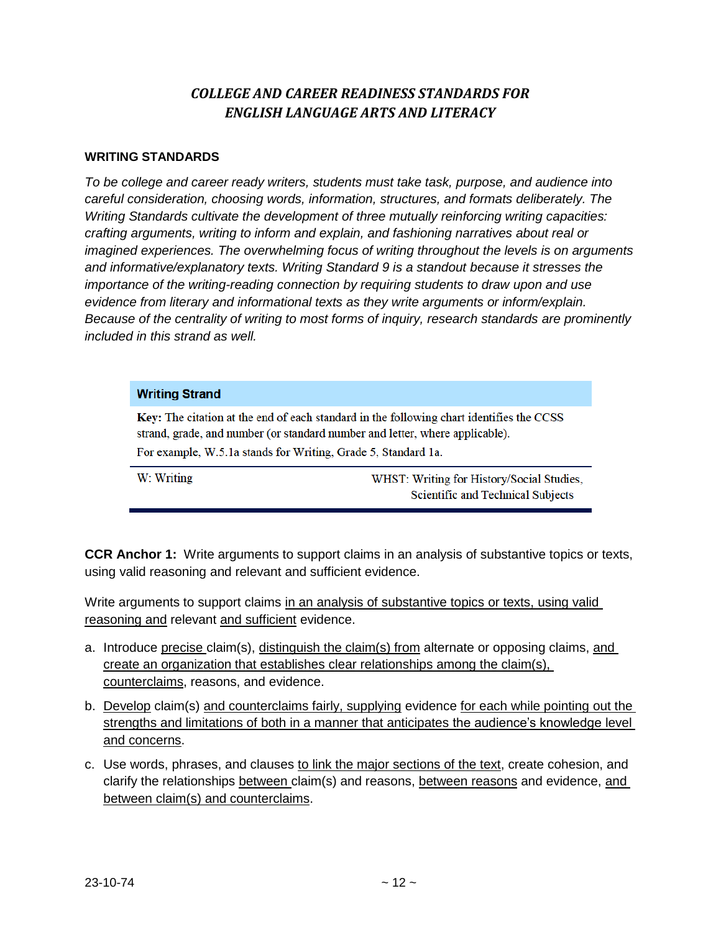#### **WRITING STANDARDS**

*To be college and career ready writers, students must take task, purpose, and audience into careful consideration, choosing words, information, structures, and formats deliberately. The Writing Standards cultivate the development of three mutually reinforcing writing capacities: crafting arguments, writing to inform and explain, and fashioning narratives about real or imagined experiences. The overwhelming focus of writing throughout the levels is on arguments and informative/explanatory texts. Writing Standard 9 is a standout because it stresses the importance of the writing-reading connection by requiring students to draw upon and use evidence from literary and informational texts as they write arguments or inform/explain. Because of the centrality of writing to most forms of inquiry, research standards are prominently included in this strand as well.*

#### **Writing Strand**

Key: The citation at the end of each standard in the following chart identifies the CCSS strand, grade, and number (or standard number and letter, where applicable).

For example, W.5.1a stands for Writing, Grade 5, Standard 1a.

W: Writing

WHST: Writing for History/Social Studies, Scientific and Technical Subjects

**CCR Anchor 1:** Write arguments to support claims in an analysis of substantive topics or texts, using valid reasoning and relevant and sufficient evidence.

Write arguments to support claims in an analysis of substantive topics or texts, using valid reasoning and relevant and sufficient evidence.

- a. Introduce precise claim(s), distinguish the claim(s) from alternate or opposing claims, and create an organization that establishes clear relationships among the claim(s), counterclaims, reasons, and evidence.
- b. Develop claim(s) and counterclaims fairly, supplying evidence for each while pointing out the strengths and limitations of both in a manner that anticipates the audience's knowledge level and concerns.
- c. Use words, phrases, and clauses to link the major sections of the text, create cohesion, and clarify the relationships between claim(s) and reasons, between reasons and evidence, and between claim(s) and counterclaims.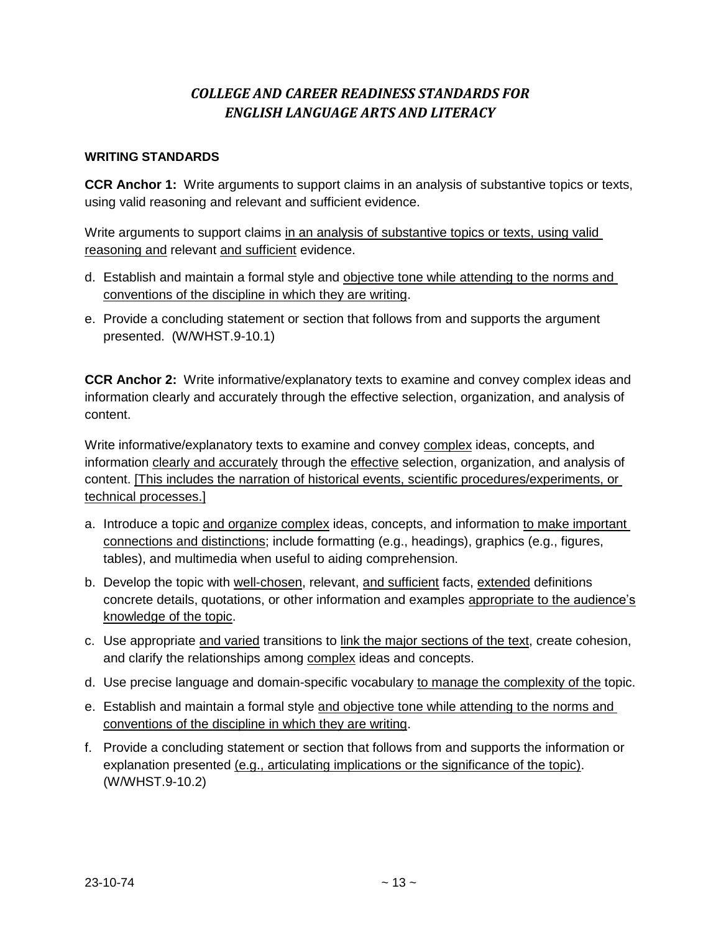#### **WRITING STANDARDS**

**CCR Anchor 1:** Write arguments to support claims in an analysis of substantive topics or texts, using valid reasoning and relevant and sufficient evidence.

Write arguments to support claims in an analysis of substantive topics or texts, using valid reasoning and relevant and sufficient evidence.

- d. Establish and maintain a formal style and objective tone while attending to the norms and conventions of the discipline in which they are writing.
- e. Provide a concluding statement or section that follows from and supports the argument presented. (W/WHST.9-10.1)

**CCR Anchor 2:** Write informative/explanatory texts to examine and convey complex ideas and information clearly and accurately through the effective selection, organization, and analysis of content.

Write informative/explanatory texts to examine and convey complex ideas, concepts, and information clearly and accurately through the effective selection, organization, and analysis of content. [This includes the narration of historical events, scientific procedures/experiments, or technical processes.]

- a. Introduce a topic and organize complex ideas, concepts, and information to make important connections and distinctions; include formatting (e.g., headings), graphics (e.g., figures, tables), and multimedia when useful to aiding comprehension.
- b. Develop the topic with well-chosen, relevant, and sufficient facts, extended definitions concrete details, quotations, or other information and examples appropriate to the audience's knowledge of the topic.
- c. Use appropriate and varied transitions to link the major sections of the text, create cohesion, and clarify the relationships among complex ideas and concepts.
- d. Use precise language and domain-specific vocabulary to manage the complexity of the topic.
- e. Establish and maintain a formal style and objective tone while attending to the norms and conventions of the discipline in which they are writing.
- f. Provide a concluding statement or section that follows from and supports the information or explanation presented (e.g., articulating implications or the significance of the topic). (W/WHST.9-10.2)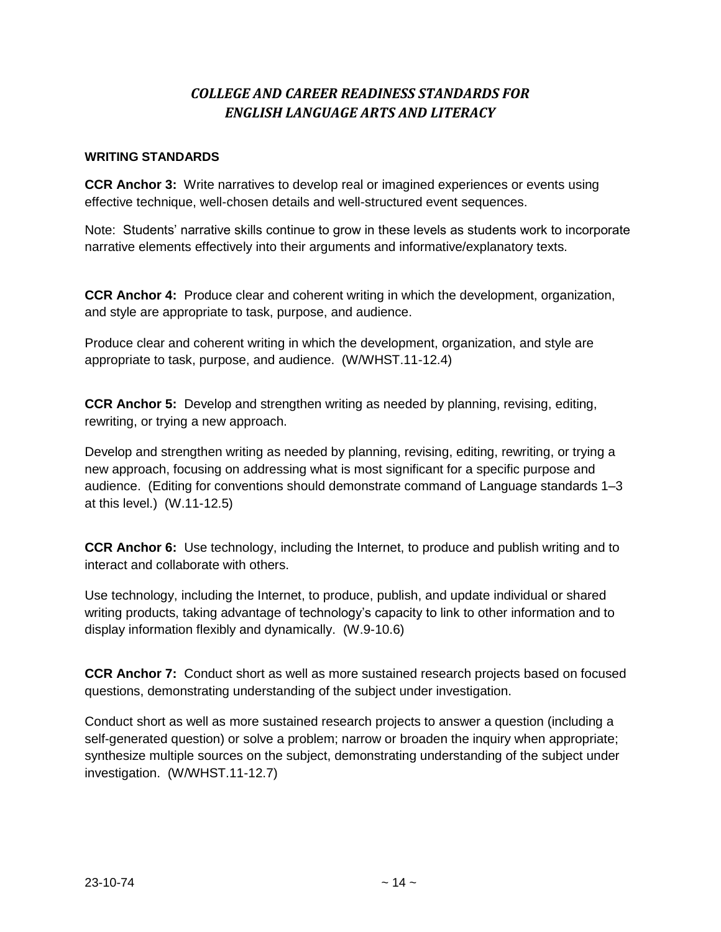#### **WRITING STANDARDS**

**CCR Anchor 3:** Write narratives to develop real or imagined experiences or events using effective technique, well-chosen details and well-structured event sequences.

Note: Students' narrative skills continue to grow in these levels as students work to incorporate narrative elements effectively into their arguments and informative/explanatory texts.

**CCR Anchor 4:** Produce clear and coherent writing in which the development, organization, and style are appropriate to task, purpose, and audience.

Produce clear and coherent writing in which the development, organization, and style are appropriate to task, purpose, and audience. (W/WHST.11-12.4)

**CCR Anchor 5:** Develop and strengthen writing as needed by planning, revising, editing, rewriting, or trying a new approach.

Develop and strengthen writing as needed by planning, revising, editing, rewriting, or trying a new approach, focusing on addressing what is most significant for a specific purpose and audience. (Editing for conventions should demonstrate command of Language standards 1–3 at this level.) (W.11-12.5)

**CCR Anchor 6:** Use technology, including the Internet, to produce and publish writing and to interact and collaborate with others.

Use technology, including the Internet, to produce, publish, and update individual or shared writing products, taking advantage of technology's capacity to link to other information and to display information flexibly and dynamically. (W.9-10.6)

**CCR Anchor 7:** Conduct short as well as more sustained research projects based on focused questions, demonstrating understanding of the subject under investigation.

Conduct short as well as more sustained research projects to answer a question (including a self-generated question) or solve a problem; narrow or broaden the inquiry when appropriate; synthesize multiple sources on the subject, demonstrating understanding of the subject under investigation. (W/WHST.11-12.7)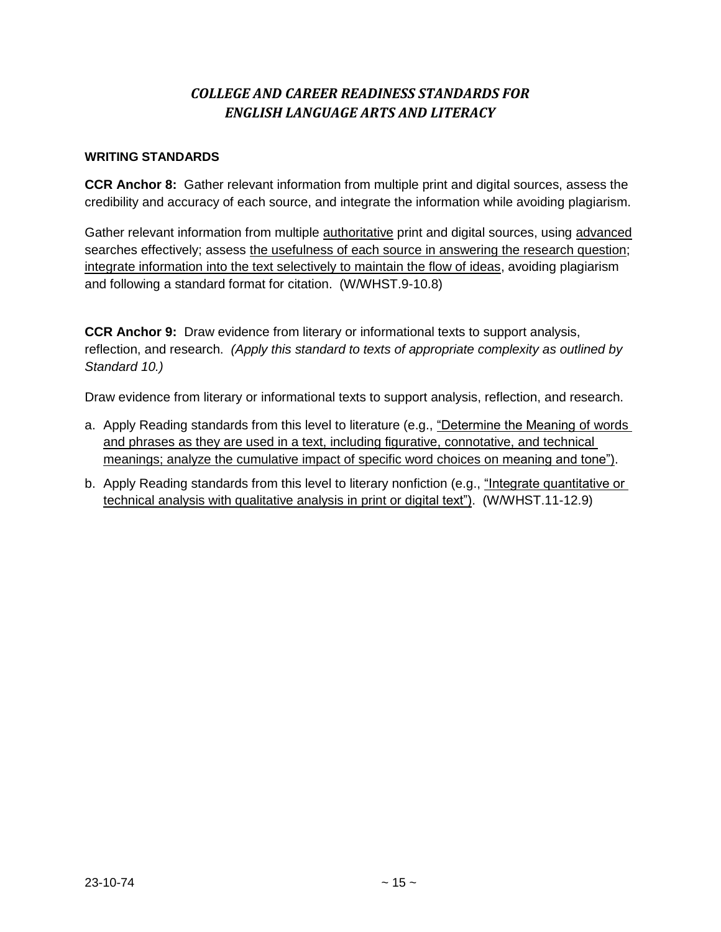#### **WRITING STANDARDS**

**CCR Anchor 8:** Gather relevant information from multiple print and digital sources, assess the credibility and accuracy of each source, and integrate the information while avoiding plagiarism.

Gather relevant information from multiple authoritative print and digital sources, using advanced searches effectively; assess the usefulness of each source in answering the research question; integrate information into the text selectively to maintain the flow of ideas, avoiding plagiarism and following a standard format for citation. (W/WHST.9-10.8)

**CCR Anchor 9:** Draw evidence from literary or informational texts to support analysis, reflection, and research. *(Apply this standard to texts of appropriate complexity as outlined by Standard 10.)* 

Draw evidence from literary or informational texts to support analysis, reflection, and research.

- a. Apply Reading standards from this level to literature (e.g., "Determine the Meaning of words and phrases as they are used in a text, including figurative, connotative, and technical meanings; analyze the cumulative impact of specific word choices on meaning and tone").
- b. Apply Reading standards from this level to literary nonfiction (e.g., "Integrate quantitative or technical analysis with qualitative analysis in print or digital text"). (W/WHST.11-12.9)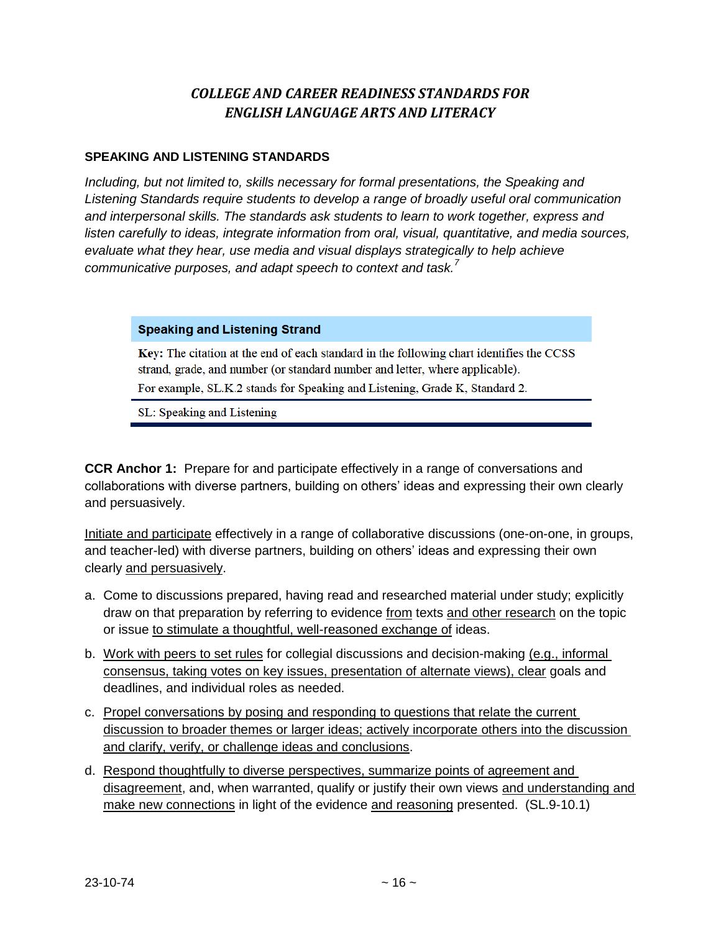#### **SPEAKING AND LISTENING STANDARDS**

*Including, but not limited to, skills necessary for formal presentations, the Speaking and Listening Standards require students to develop a range of broadly useful oral communication and interpersonal skills. The standards ask students to learn to work together, express and listen carefully to ideas, integrate information from oral, visual, quantitative, and media sources, evaluate what they hear, use media and visual displays strategically to help achieve communicative purposes, and adapt speech to context and task.<sup>7</sup>*

#### **Speaking and Listening Strand**

Key: The citation at the end of each standard in the following chart identifies the CCSS strand, grade, and number (or standard number and letter, where applicable).

For example, SL.K.2 stands for Speaking and Listening, Grade K, Standard 2.

SL: Speaking and Listening

**CCR Anchor 1:** Prepare for and participate effectively in a range of conversations and collaborations with diverse partners, building on others' ideas and expressing their own clearly and persuasively.

Initiate and participate effectively in a range of collaborative discussions (one-on-one, in groups, and teacher-led) with diverse partners, building on others' ideas and expressing their own clearly and persuasively.

- a. Come to discussions prepared, having read and researched material under study; explicitly draw on that preparation by referring to evidence from texts and other research on the topic or issue to stimulate a thoughtful, well-reasoned exchange of ideas.
- b. Work with peers to set rules for collegial discussions and decision-making (e.g., informal consensus, taking votes on key issues, presentation of alternate views), clear goals and deadlines, and individual roles as needed.
- c. Propel conversations by posing and responding to questions that relate the current discussion to broader themes or larger ideas; actively incorporate others into the discussion and clarify, verify, or challenge ideas and conclusions.
- d. Respond thoughtfully to diverse perspectives, summarize points of agreement and disagreement, and, when warranted, qualify or justify their own views and understanding and make new connections in light of the evidence and reasoning presented. (SL.9-10.1)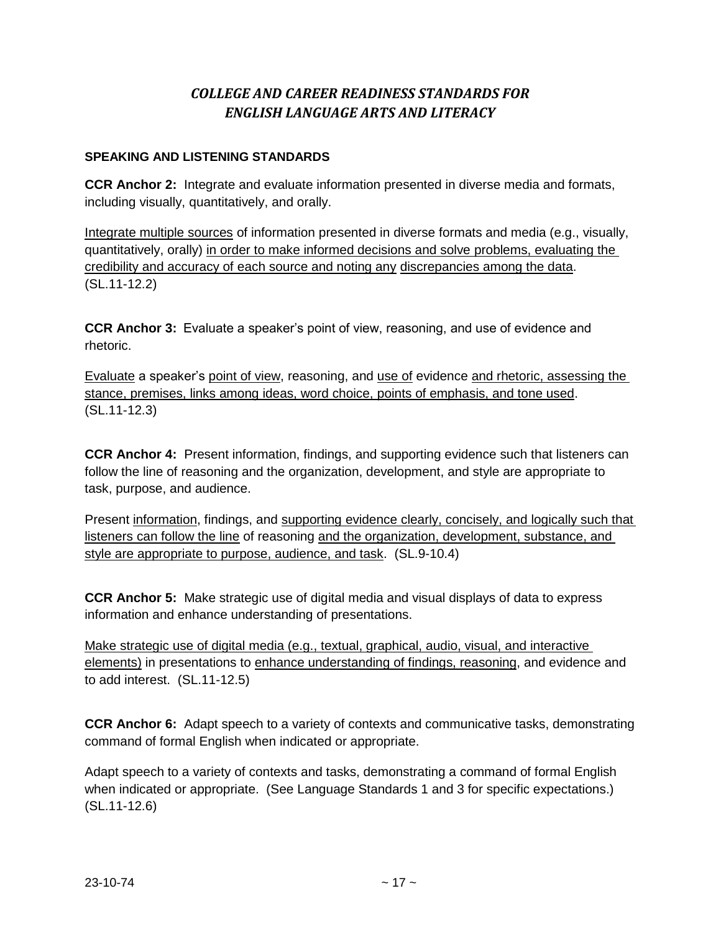#### **SPEAKING AND LISTENING STANDARDS**

**CCR Anchor 2:** Integrate and evaluate information presented in diverse media and formats, including visually, quantitatively, and orally.

Integrate multiple sources of information presented in diverse formats and media (e.g., visually, quantitatively, orally) in order to make informed decisions and solve problems, evaluating the credibility and accuracy of each source and noting any discrepancies among the data. (SL.11-12.2)

**CCR Anchor 3:** Evaluate a speaker's point of view, reasoning, and use of evidence and rhetoric.

Evaluate a speaker's point of view, reasoning, and use of evidence and rhetoric, assessing the stance, premises, links among ideas, word choice, points of emphasis, and tone used. (SL.11-12.3)

**CCR Anchor 4:** Present information, findings, and supporting evidence such that listeners can follow the line of reasoning and the organization, development, and style are appropriate to task, purpose, and audience.

Present information, findings, and supporting evidence clearly, concisely, and logically such that listeners can follow the line of reasoning and the organization, development, substance, and style are appropriate to purpose, audience, and task. (SL.9-10.4)

**CCR Anchor 5:** Make strategic use of digital media and visual displays of data to express information and enhance understanding of presentations.

Make strategic use of digital media (e.g., textual, graphical, audio, visual, and interactive elements) in presentations to enhance understanding of findings, reasoning, and evidence and to add interest. (SL.11-12.5)

**CCR Anchor 6:** Adapt speech to a variety of contexts and communicative tasks, demonstrating command of formal English when indicated or appropriate.

Adapt speech to a variety of contexts and tasks, demonstrating a command of formal English when indicated or appropriate. (See Language Standards 1 and 3 for specific expectations.) (SL.11-12.6)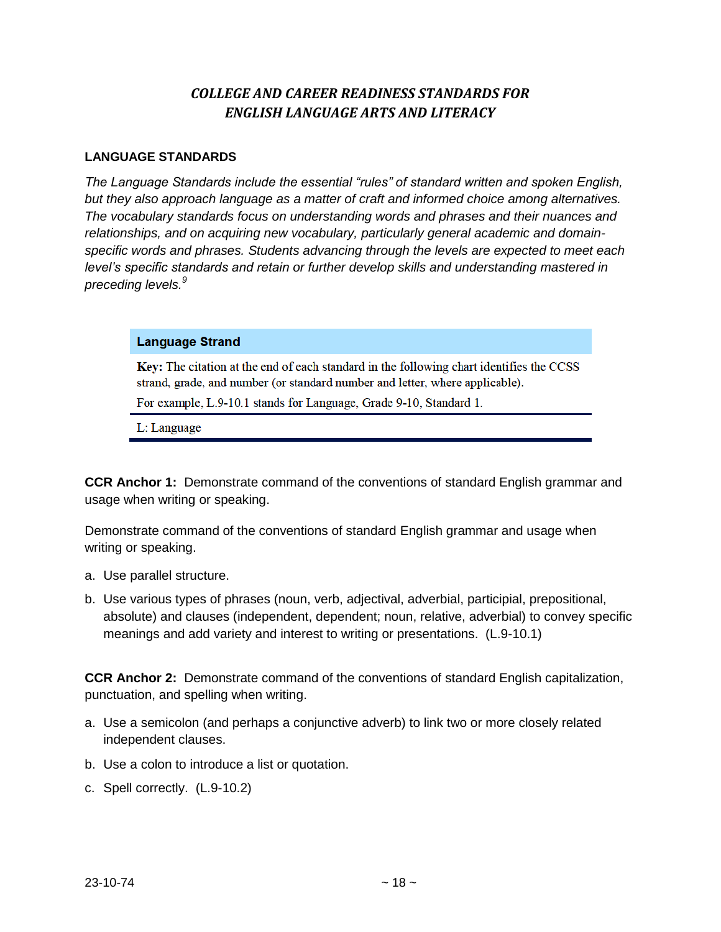#### **LANGUAGE STANDARDS**

*The Language Standards include the essential "rules" of standard written and spoken English, but they also approach language as a matter of craft and informed choice among alternatives. The vocabulary standards focus on understanding words and phrases and their nuances and relationships, and on acquiring new vocabulary, particularly general academic and domainspecific words and phrases. Students advancing through the levels are expected to meet each level's specific standards and retain or further develop skills and understanding mastered in preceding levels.<sup>9</sup>*

#### **Language Strand**

Key: The citation at the end of each standard in the following chart identifies the CCSS strand, grade, and number (or standard number and letter, where applicable).

For example, L.9-10.1 stands for Language, Grade 9-10, Standard 1.

L: Language

**CCR Anchor 1:** Demonstrate command of the conventions of standard English grammar and usage when writing or speaking.

Demonstrate command of the conventions of standard English grammar and usage when writing or speaking.

- a. Use parallel structure.
- b. Use various types of phrases (noun, verb, adjectival, adverbial, participial, prepositional, absolute) and clauses (independent, dependent; noun, relative, adverbial) to convey specific meanings and add variety and interest to writing or presentations. (L.9-10.1)

**CCR Anchor 2:** Demonstrate command of the conventions of standard English capitalization, punctuation, and spelling when writing.

- a. Use a semicolon (and perhaps a conjunctive adverb) to link two or more closely related independent clauses.
- b. Use a colon to introduce a list or quotation.
- c. Spell correctly. (L.9-10.2)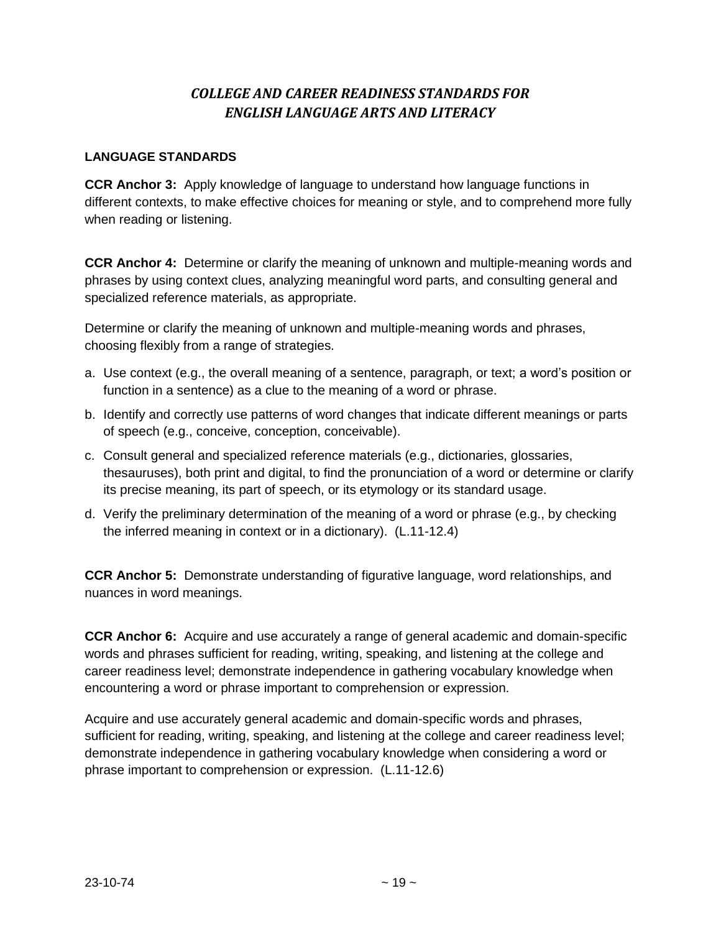#### **LANGUAGE STANDARDS**

**CCR Anchor 3:** Apply knowledge of language to understand how language functions in different contexts, to make effective choices for meaning or style, and to comprehend more fully when reading or listening.

**CCR Anchor 4:** Determine or clarify the meaning of unknown and multiple-meaning words and phrases by using context clues, analyzing meaningful word parts, and consulting general and specialized reference materials, as appropriate.

Determine or clarify the meaning of unknown and multiple-meaning words and phrases, choosing flexibly from a range of strategies.

- a. Use context (e.g., the overall meaning of a sentence, paragraph, or text; a word's position or function in a sentence) as a clue to the meaning of a word or phrase.
- b. Identify and correctly use patterns of word changes that indicate different meanings or parts of speech (e.g., conceive, conception, conceivable).
- c. Consult general and specialized reference materials (e.g., dictionaries, glossaries, thesauruses), both print and digital, to find the pronunciation of a word or determine or clarify its precise meaning, its part of speech, or its etymology or its standard usage.
- d. Verify the preliminary determination of the meaning of a word or phrase (e.g., by checking the inferred meaning in context or in a dictionary). (L.11-12.4)

**CCR Anchor 5:** Demonstrate understanding of figurative language, word relationships, and nuances in word meanings.

**CCR Anchor 6:** Acquire and use accurately a range of general academic and domain-specific words and phrases sufficient for reading, writing, speaking, and listening at the college and career readiness level; demonstrate independence in gathering vocabulary knowledge when encountering a word or phrase important to comprehension or expression.

Acquire and use accurately general academic and domain-specific words and phrases, sufficient for reading, writing, speaking, and listening at the college and career readiness level; demonstrate independence in gathering vocabulary knowledge when considering a word or phrase important to comprehension or expression. (L.11-12.6)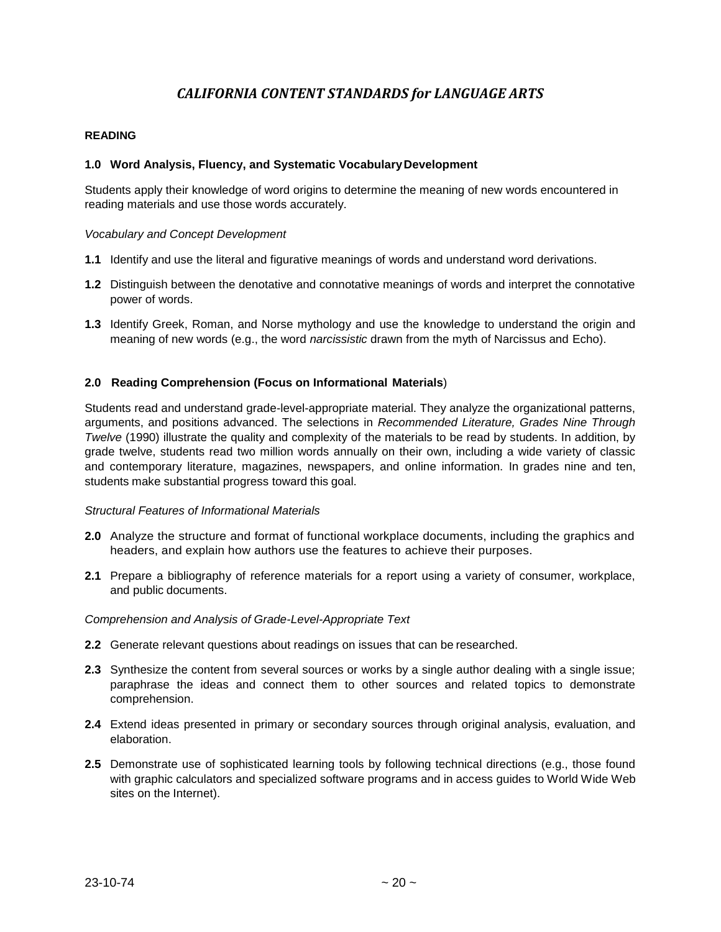## *CALIFORNIA CONTENT STANDARDS for LANGUAGE ARTS*

#### **READING**

#### **1.0 Word Analysis, Fluency, and Systematic VocabularyDevelopment**

Students apply their knowledge of word origins to determine the meaning of new words encountered in reading materials and use those words accurately.

#### *Vocabulary and Concept Development*

- **1.1** Identify and use the literal and figurative meanings of words and understand word derivations.
- **1.2** Distinguish between the denotative and connotative meanings of words and interpret the connotative power of words.
- **1.3** Identify Greek, Roman, and Norse mythology and use the knowledge to understand the origin and meaning of new words (e.g., the word *narcissistic* drawn from the myth of Narcissus and Echo).

#### **2.0 Reading Comprehension (Focus on Informational Materials**)

Students read and understand grade-level-appropriate material. They analyze the organizational patterns, arguments, and positions advanced. The selections in *Recommended Literature, Grades Nine Through Twelve* (1990) illustrate the quality and complexity of the materials to be read by students. In addition, by grade twelve, students read two million words annually on their own, including a wide variety of classic and contemporary literature, magazines, newspapers, and online information. In grades nine and ten, students make substantial progress toward this goal.

#### *Structural Features of Informational Materials*

- **2.0** Analyze the structure and format of functional workplace documents, including the graphics and headers, and explain how authors use the features to achieve their purposes.
- **2.1** Prepare a bibliography of reference materials for a report using a variety of consumer, workplace, and public documents.

#### *Comprehension and Analysis of Grade-Level-Appropriate Text*

- **2.2** Generate relevant questions about readings on issues that can be researched.
- **2.3** Synthesize the content from several sources or works by a single author dealing with a single issue; paraphrase the ideas and connect them to other sources and related topics to demonstrate comprehension.
- **2.4** Extend ideas presented in primary or secondary sources through original analysis, evaluation, and elaboration.
- **2.5** Demonstrate use of sophisticated learning tools by following technical directions (e.g., those found with graphic calculators and specialized software programs and in access guides to World Wide Web sites on the Internet).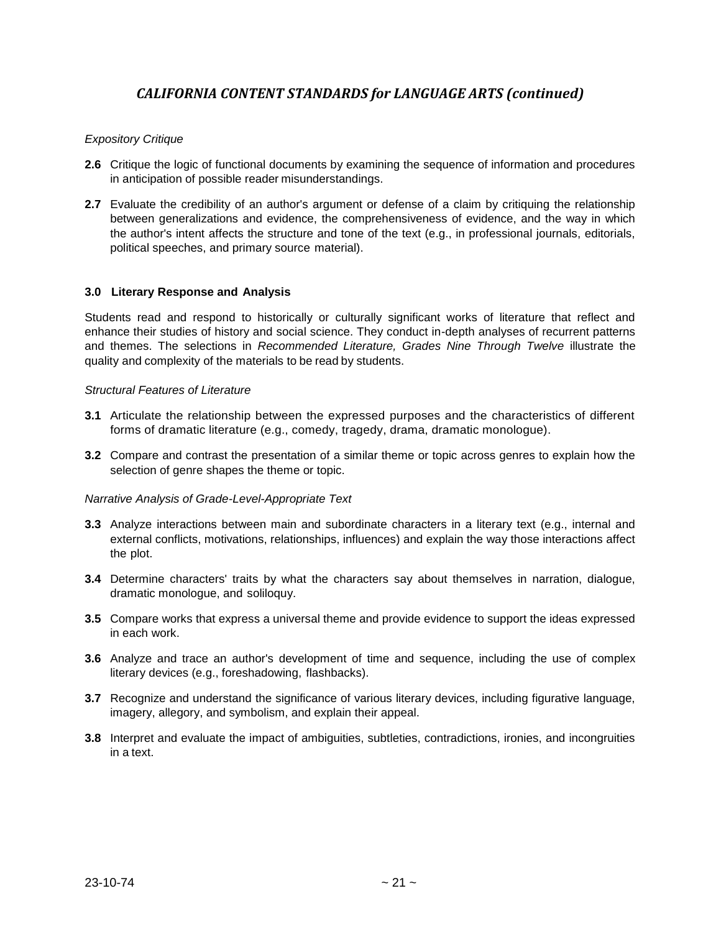#### *Expository Critique*

- **2.6** Critique the logic of functional documents by examining the sequence of information and procedures in anticipation of possible reader misunderstandings.
- **2.7** Evaluate the credibility of an author's argument or defense of a claim by critiquing the relationship between generalizations and evidence, the comprehensiveness of evidence, and the way in which the author's intent affects the structure and tone of the text (e.g., in professional journals, editorials, political speeches, and primary source material).

#### **3.0 Literary Response and Analysis**

Students read and respond to historically or culturally significant works of literature that reflect and enhance their studies of history and social science. They conduct in-depth analyses of recurrent patterns and themes. The selections in *Recommended Literature, Grades Nine Through Twelve* illustrate the quality and complexity of the materials to be read by students.

#### *Structural Features of Literature*

- **3.1** Articulate the relationship between the expressed purposes and the characteristics of different forms of dramatic literature (e.g., comedy, tragedy, drama, dramatic monologue).
- **3.2** Compare and contrast the presentation of a similar theme or topic across genres to explain how the selection of genre shapes the theme or topic.

#### *Narrative Analysis of Grade-Level-Appropriate Text*

- **3.3** Analyze interactions between main and subordinate characters in a literary text (e.g., internal and external conflicts, motivations, relationships, influences) and explain the way those interactions affect the plot.
- **3.4** Determine characters' traits by what the characters say about themselves in narration, dialogue, dramatic monologue, and soliloquy.
- **3.5** Compare works that express a universal theme and provide evidence to support the ideas expressed in each work.
- **3.6** Analyze and trace an author's development of time and sequence, including the use of complex literary devices (e.g., foreshadowing, flashbacks).
- **3.7** Recognize and understand the significance of various literary devices, including figurative language, imagery, allegory, and symbolism, and explain their appeal.
- **3.8** Interpret and evaluate the impact of ambiguities, subtleties, contradictions, ironies, and incongruities in a text.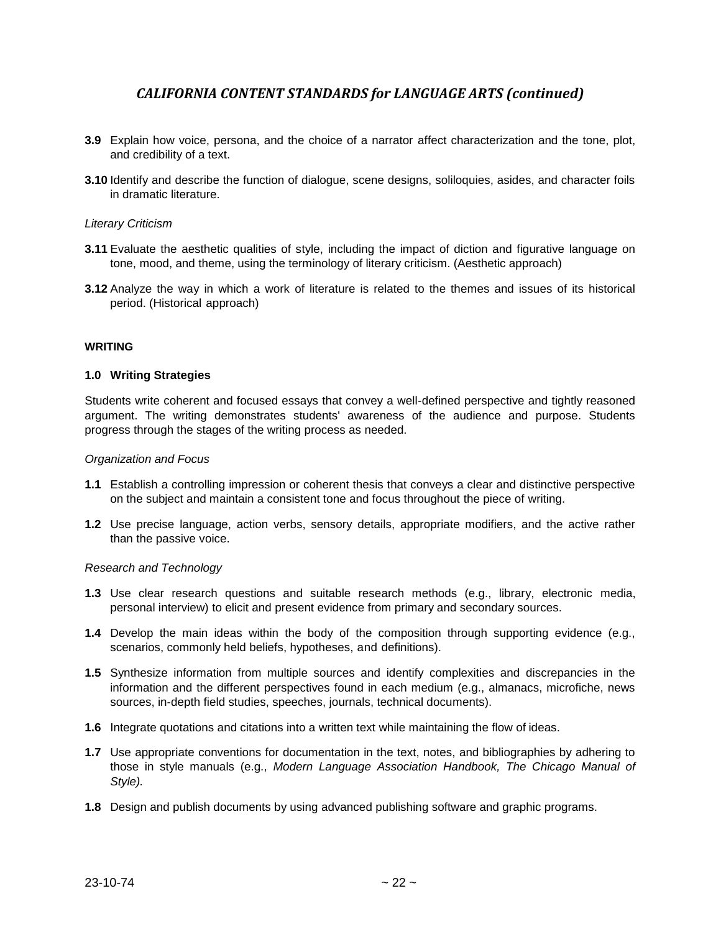- **3.9** Explain how voice, persona, and the choice of a narrator affect characterization and the tone, plot, and credibility of a text.
- **3.10** Identify and describe the function of dialogue, scene designs, soliloquies, asides, and character foils in dramatic literature.

#### *Literary Criticism*

- **3.11** Evaluate the aesthetic qualities of style, including the impact of diction and figurative language on tone, mood, and theme, using the terminology of literary criticism. (Aesthetic approach)
- **3.12** Analyze the way in which a work of literature is related to the themes and issues of its historical period. (Historical approach)

#### **WRITING**

#### **1.0 Writing Strategies**

Students write coherent and focused essays that convey a well-defined perspective and tightly reasoned argument. The writing demonstrates students' awareness of the audience and purpose. Students progress through the stages of the writing process as needed.

#### *Organization and Focus*

- **1.1** Establish a controlling impression or coherent thesis that conveys a clear and distinctive perspective on the subject and maintain a consistent tone and focus throughout the piece of writing.
- **1.2** Use precise language, action verbs, sensory details, appropriate modifiers, and the active rather than the passive voice.

#### *Research and Technology*

- **1.3** Use clear research questions and suitable research methods (e.g., library, electronic media, personal interview) to elicit and present evidence from primary and secondary sources.
- **1.4** Develop the main ideas within the body of the composition through supporting evidence (e.g., scenarios, commonly held beliefs, hypotheses, and definitions).
- **1.5** Synthesize information from multiple sources and identify complexities and discrepancies in the information and the different perspectives found in each medium (e.g., almanacs, microfiche, news sources, in-depth field studies, speeches, journals, technical documents).
- **1.6** Integrate quotations and citations into a written text while maintaining the flow of ideas.
- **1.7** Use appropriate conventions for documentation in the text, notes, and bibliographies by adhering to those in style manuals (e.g., *Modern Language Association Handbook, The Chicago Manual of Style).*
- **1.8** Design and publish documents by using advanced publishing software and graphic programs.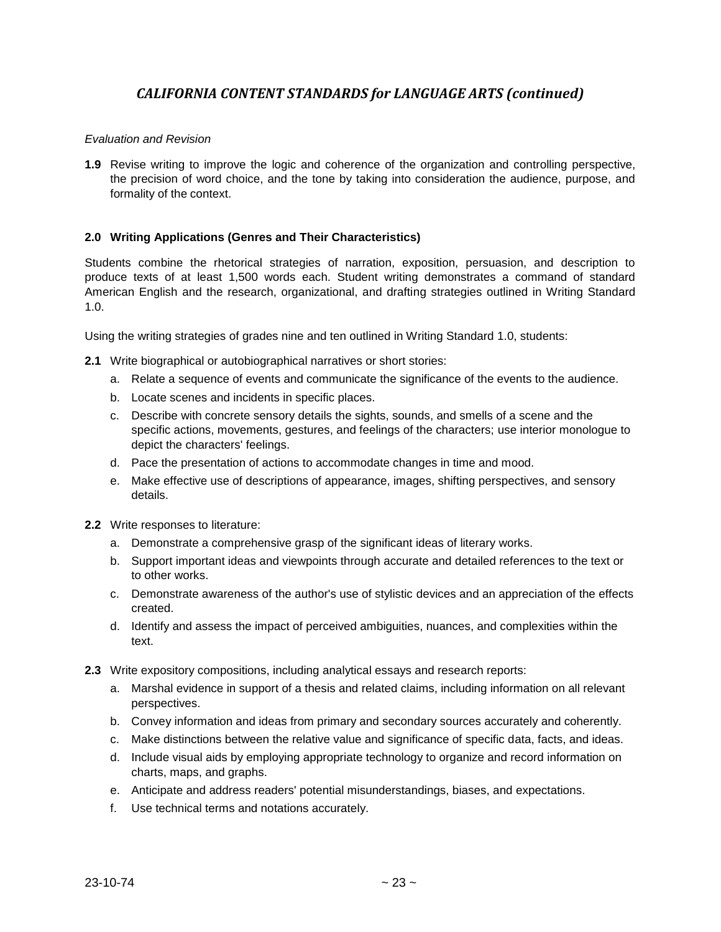#### *Evaluation and Revision*

**1.9** Revise writing to improve the logic and coherence of the organization and controlling perspective, the precision of word choice, and the tone by taking into consideration the audience, purpose, and formality of the context.

#### **2.0 Writing Applications (Genres and Their Characteristics)**

Students combine the rhetorical strategies of narration, exposition, persuasion, and description to produce texts of at least 1,500 words each. Student writing demonstrates a command of standard American English and the research, organizational, and drafting strategies outlined in Writing Standard 1.0.

Using the writing strategies of grades nine and ten outlined in Writing Standard 1.0, students:

**2.1** Write biographical or autobiographical narratives or short stories:

- a. Relate a sequence of events and communicate the significance of the events to the audience.
- b. Locate scenes and incidents in specific places.
- c. Describe with concrete sensory details the sights, sounds, and smells of a scene and the specific actions, movements, gestures, and feelings of the characters; use interior monologue to depict the characters' feelings.
- d. Pace the presentation of actions to accommodate changes in time and mood.
- e. Make effective use of descriptions of appearance, images, shifting perspectives, and sensory details.
- **2.2** Write responses to literature:
	- a. Demonstrate a comprehensive grasp of the significant ideas of literary works.
	- b. Support important ideas and viewpoints through accurate and detailed references to the text or to other works.
	- c. Demonstrate awareness of the author's use of stylistic devices and an appreciation of the effects created.
	- d. Identify and assess the impact of perceived ambiguities, nuances, and complexities within the text.
- **2.3** Write expository compositions, including analytical essays and research reports:
	- a. Marshal evidence in support of a thesis and related claims, including information on all relevant perspectives.
	- b. Convey information and ideas from primary and secondary sources accurately and coherently.
	- c. Make distinctions between the relative value and significance of specific data, facts, and ideas.
	- d. Include visual aids by employing appropriate technology to organize and record information on charts, maps, and graphs.
	- e. Anticipate and address readers' potential misunderstandings, biases, and expectations.
	- f. Use technical terms and notations accurately.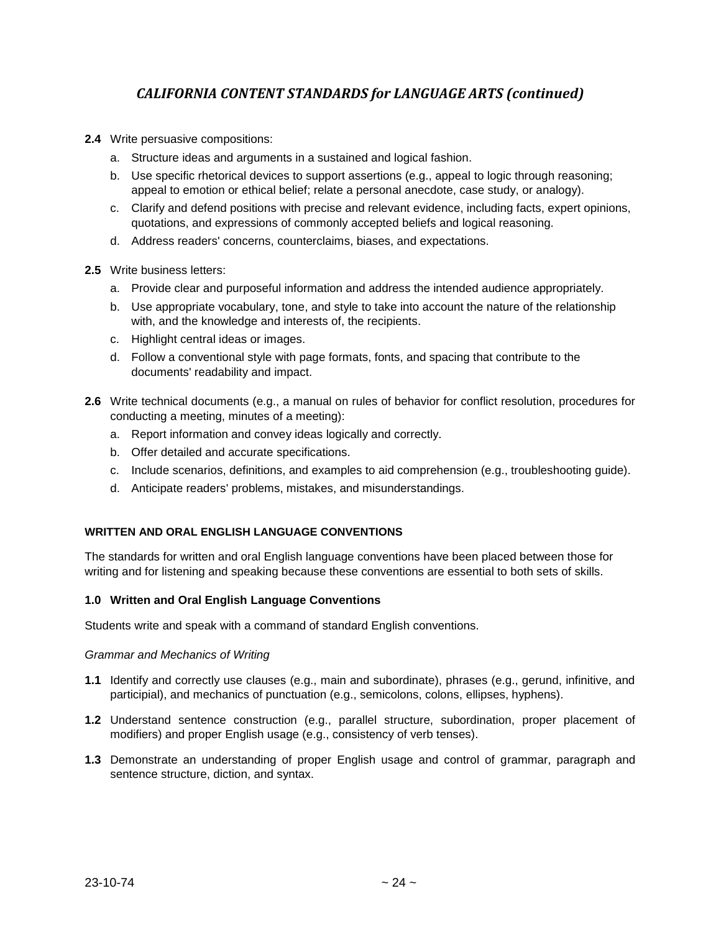- **2.4** Write persuasive compositions:
	- a. Structure ideas and arguments in a sustained and logical fashion.
	- b. Use specific rhetorical devices to support assertions (e.g., appeal to logic through reasoning; appeal to emotion or ethical belief; relate a personal anecdote, case study, or analogy).
	- c. Clarify and defend positions with precise and relevant evidence, including facts, expert opinions, quotations, and expressions of commonly accepted beliefs and logical reasoning.
	- d. Address readers' concerns, counterclaims, biases, and expectations.
- **2.5** Write business letters:
	- a. Provide clear and purposeful information and address the intended audience appropriately.
	- b. Use appropriate vocabulary, tone, and style to take into account the nature of the relationship with, and the knowledge and interests of, the recipients.
	- c. Highlight central ideas or images.
	- d. Follow a conventional style with page formats, fonts, and spacing that contribute to the documents' readability and impact.
- **2.6** Write technical documents (e.g., a manual on rules of behavior for conflict resolution, procedures for conducting a meeting, minutes of a meeting):
	- a. Report information and convey ideas logically and correctly.
	- b. Offer detailed and accurate specifications.
	- c. Include scenarios, definitions, and examples to aid comprehension (e.g., troubleshooting guide).
	- d. Anticipate readers' problems, mistakes, and misunderstandings.

#### **WRITTEN AND ORAL ENGLISH LANGUAGE CONVENTIONS**

The standards for written and oral English language conventions have been placed between those for writing and for listening and speaking because these conventions are essential to both sets of skills.

#### **1.0 Written and Oral English Language Conventions**

Students write and speak with a command of standard English conventions.

#### *Grammar and Mechanics of Writing*

- **1.1** Identify and correctly use clauses (e.g., main and subordinate), phrases (e.g., gerund, infinitive, and participial), and mechanics of punctuation (e.g., semicolons, colons, ellipses, hyphens).
- **1.2** Understand sentence construction (e.g., parallel structure, subordination, proper placement of modifiers) and proper English usage (e.g., consistency of verb tenses).
- **1.3** Demonstrate an understanding of proper English usage and control of grammar, paragraph and sentence structure, diction, and syntax.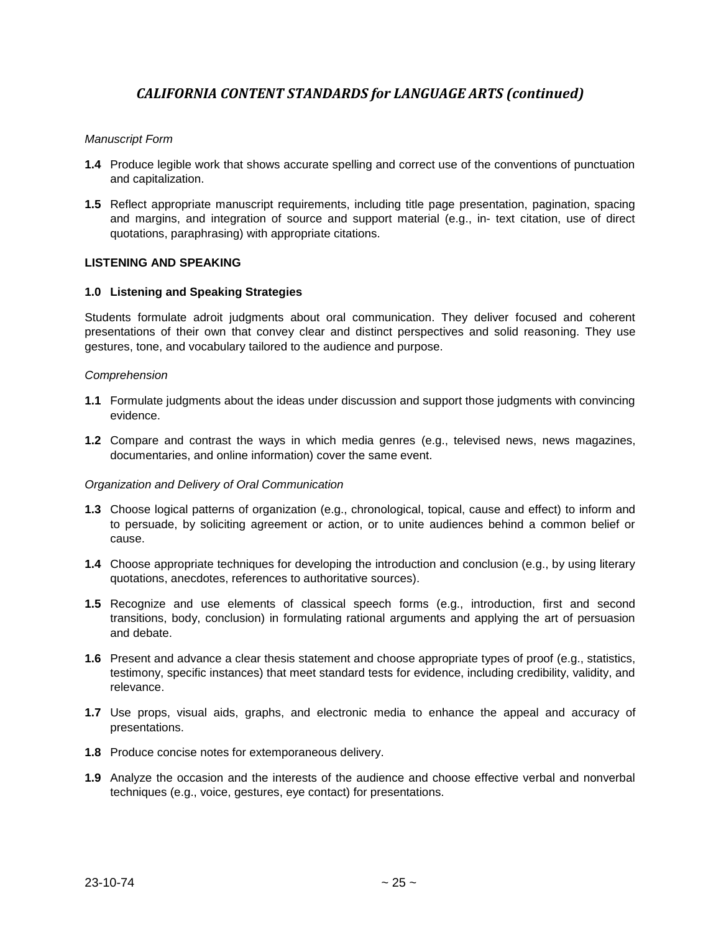#### *Manuscript Form*

- **1.4** Produce legible work that shows accurate spelling and correct use of the conventions of punctuation and capitalization.
- **1.5** Reflect appropriate manuscript requirements, including title page presentation, pagination, spacing and margins, and integration of source and support material (e.g., in- text citation, use of direct quotations, paraphrasing) with appropriate citations.

#### **LISTENING AND SPEAKING**

#### **1.0 Listening and Speaking Strategies**

Students formulate adroit judgments about oral communication. They deliver focused and coherent presentations of their own that convey clear and distinct perspectives and solid reasoning. They use gestures, tone, and vocabulary tailored to the audience and purpose.

#### *Comprehension*

- **1.1** Formulate judgments about the ideas under discussion and support those judgments with convincing evidence.
- **1.2** Compare and contrast the ways in which media genres (e.g., televised news, news magazines, documentaries, and online information) cover the same event.

#### *Organization and Delivery of Oral Communication*

- **1.3** Choose logical patterns of organization (e.g., chronological, topical, cause and effect) to inform and to persuade, by soliciting agreement or action, or to unite audiences behind a common belief or cause.
- **1.4** Choose appropriate techniques for developing the introduction and conclusion (e.g., by using literary quotations, anecdotes, references to authoritative sources).
- **1.5** Recognize and use elements of classical speech forms (e.g., introduction, first and second transitions, body, conclusion) in formulating rational arguments and applying the art of persuasion and debate.
- **1.6** Present and advance a clear thesis statement and choose appropriate types of proof (e.g., statistics, testimony, specific instances) that meet standard tests for evidence, including credibility, validity, and relevance.
- **1.7** Use props, visual aids, graphs, and electronic media to enhance the appeal and accuracy of presentations.
- **1.8** Produce concise notes for extemporaneous delivery.
- **1.9** Analyze the occasion and the interests of the audience and choose effective verbal and nonverbal techniques (e.g., voice, gestures, eye contact) for presentations.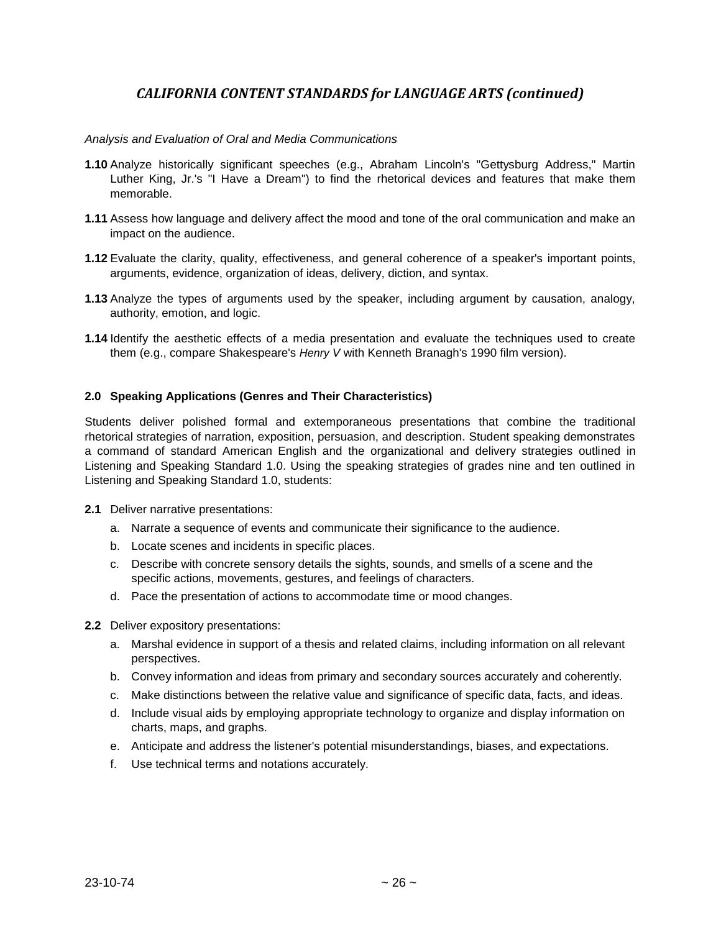#### *Analysis and Evaluation of Oral and Media Communications*

- **1.10** Analyze historically significant speeches (e.g., Abraham Lincoln's "Gettysburg Address," Martin Luther King, Jr.'s "I Have a Dream") to find the rhetorical devices and features that make them memorable.
- **1.11** Assess how language and delivery affect the mood and tone of the oral communication and make an impact on the audience.
- **1.12** Evaluate the clarity, quality, effectiveness, and general coherence of a speaker's important points, arguments, evidence, organization of ideas, delivery, diction, and syntax.
- **1.13** Analyze the types of arguments used by the speaker, including argument by causation, analogy, authority, emotion, and logic.
- **1.14** Identify the aesthetic effects of a media presentation and evaluate the techniques used to create them (e.g., compare Shakespeare's *Henry V* with Kenneth Branagh's 1990 film version).

#### **2.0 Speaking Applications (Genres and Their Characteristics)**

Students deliver polished formal and extemporaneous presentations that combine the traditional rhetorical strategies of narration, exposition, persuasion, and description. Student speaking demonstrates a command of standard American English and the organizational and delivery strategies outlined in Listening and Speaking Standard 1.0. Using the speaking strategies of grades nine and ten outlined in Listening and Speaking Standard 1.0, students:

- **2.1** Deliver narrative presentations:
	- a. Narrate a sequence of events and communicate their significance to the audience.
	- b. Locate scenes and incidents in specific places.
	- c. Describe with concrete sensory details the sights, sounds, and smells of a scene and the specific actions, movements, gestures, and feelings of characters.
	- d. Pace the presentation of actions to accommodate time or mood changes.
- **2.2** Deliver expository presentations:
	- a. Marshal evidence in support of a thesis and related claims, including information on all relevant perspectives.
	- b. Convey information and ideas from primary and secondary sources accurately and coherently.
	- c. Make distinctions between the relative value and significance of specific data, facts, and ideas.
	- d. Include visual aids by employing appropriate technology to organize and display information on charts, maps, and graphs.
	- e. Anticipate and address the listener's potential misunderstandings, biases, and expectations.
	- f. Use technical terms and notations accurately.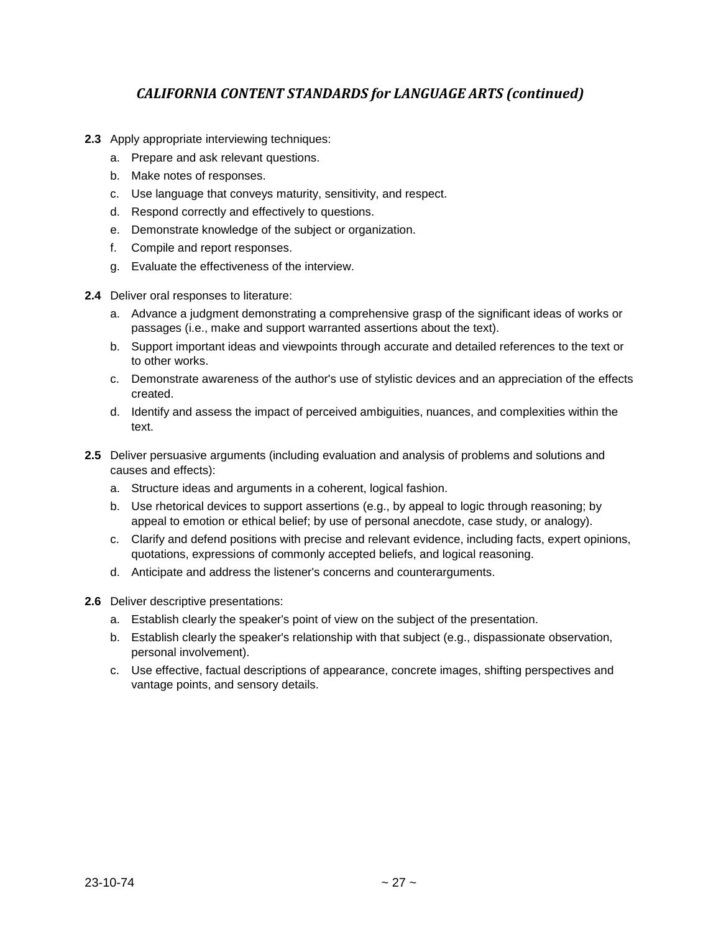- **2.3** Apply appropriate interviewing techniques:
	- a. Prepare and ask relevant questions.
	- b. Make notes of responses.
	- c. Use language that conveys maturity, sensitivity, and respect.
	- d. Respond correctly and effectively to questions.
	- e. Demonstrate knowledge of the subject or organization.
	- f. Compile and report responses.
	- g. Evaluate the effectiveness of the interview.
- **2.4** Deliver oral responses to literature:
	- a. Advance a judgment demonstrating a comprehensive grasp of the significant ideas of works or passages (i.e., make and support warranted assertions about the text).
	- b. Support important ideas and viewpoints through accurate and detailed references to the text or to other works.
	- c. Demonstrate awareness of the author's use of stylistic devices and an appreciation of the effects created.
	- d. Identify and assess the impact of perceived ambiguities, nuances, and complexities within the text.
- **2.5** Deliver persuasive arguments (including evaluation and analysis of problems and solutions and causes and effects):
	- a. Structure ideas and arguments in a coherent, logical fashion.
	- b. Use rhetorical devices to support assertions (e.g., by appeal to logic through reasoning; by appeal to emotion or ethical belief; by use of personal anecdote, case study, or analogy).
	- c. Clarify and defend positions with precise and relevant evidence, including facts, expert opinions, quotations, expressions of commonly accepted beliefs, and logical reasoning.
	- d. Anticipate and address the listener's concerns and counterarguments.
- **2.6** Deliver descriptive presentations:
	- a. Establish clearly the speaker's point of view on the subject of the presentation.
	- b. Establish clearly the speaker's relationship with that subject (e.g., dispassionate observation, personal involvement).
	- c. Use effective, factual descriptions of appearance, concrete images, shifting perspectives and vantage points, and sensory details.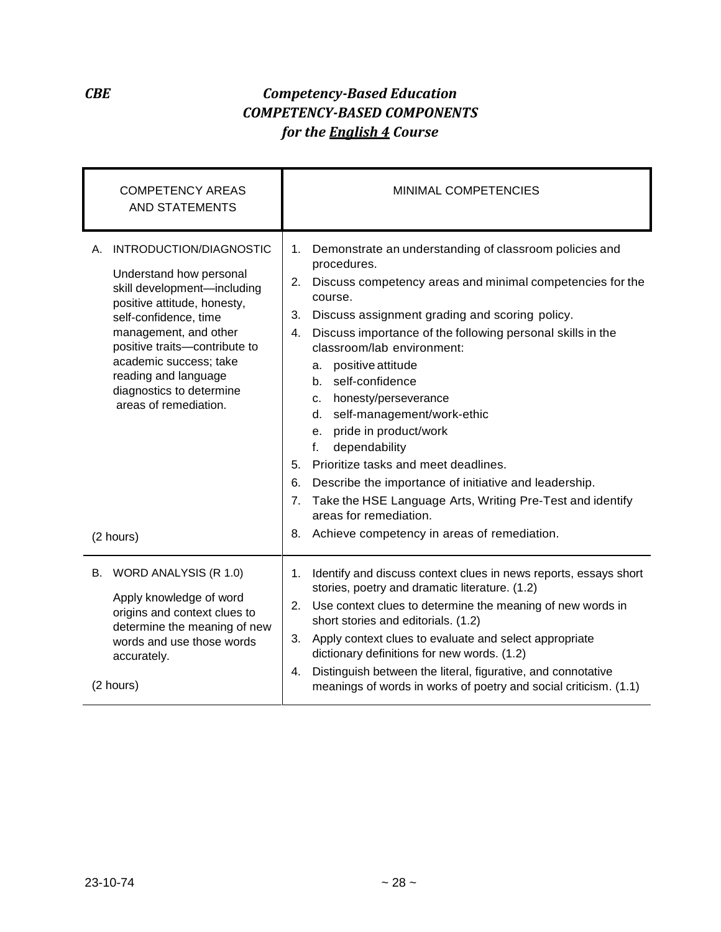# *CBE Competency-Based Education COMPETENCY-BASED COMPONENTS for the English 4 Course*

| <b>COMPETENCY AREAS</b><br><b>AND STATEMENTS</b>                                                                                                                                                                                                                                                                              | MINIMAL COMPETENCIES                                                                                                                                                                                                                                                                                                                                                                                                                                                                                                                                                                                                                                                                                                                                     |
|-------------------------------------------------------------------------------------------------------------------------------------------------------------------------------------------------------------------------------------------------------------------------------------------------------------------------------|----------------------------------------------------------------------------------------------------------------------------------------------------------------------------------------------------------------------------------------------------------------------------------------------------------------------------------------------------------------------------------------------------------------------------------------------------------------------------------------------------------------------------------------------------------------------------------------------------------------------------------------------------------------------------------------------------------------------------------------------------------|
| INTRODUCTION/DIAGNOSTIC<br>А.<br>Understand how personal<br>skill development-including<br>positive attitude, honesty,<br>self-confidence, time<br>management, and other<br>positive traits-contribute to<br>academic success; take<br>reading and language<br>diagnostics to determine<br>areas of remediation.<br>(2 hours) | Demonstrate an understanding of classroom policies and<br>1.<br>procedures.<br>Discuss competency areas and minimal competencies for the<br>2.<br>course.<br>Discuss assignment grading and scoring policy.<br>3.<br>Discuss importance of the following personal skills in the<br>4.<br>classroom/lab environment:<br>positive attitude<br>a.<br>self-confidence<br>b.<br>c. honesty/perseverance<br>d. self-management/work-ethic<br>pride in product/work<br>е.<br>dependability<br>f.<br>Prioritize tasks and meet deadlines.<br>5.<br>Describe the importance of initiative and leadership.<br>6.<br>Take the HSE Language Arts, Writing Pre-Test and identify<br>7.<br>areas for remediation.<br>Achieve competency in areas of remediation.<br>8. |
| В.<br>WORD ANALYSIS (R 1.0)<br>Apply knowledge of word<br>origins and context clues to<br>determine the meaning of new<br>words and use those words<br>accurately.<br>(2 hours)                                                                                                                                               | Identify and discuss context clues in news reports, essays short<br>1.<br>stories, poetry and dramatic literature. (1.2)<br>Use context clues to determine the meaning of new words in<br>2.<br>short stories and editorials. (1.2)<br>Apply context clues to evaluate and select appropriate<br>3.<br>dictionary definitions for new words. (1.2)<br>Distinguish between the literal, figurative, and connotative<br>4.<br>meanings of words in works of poetry and social criticism. (1.1)                                                                                                                                                                                                                                                             |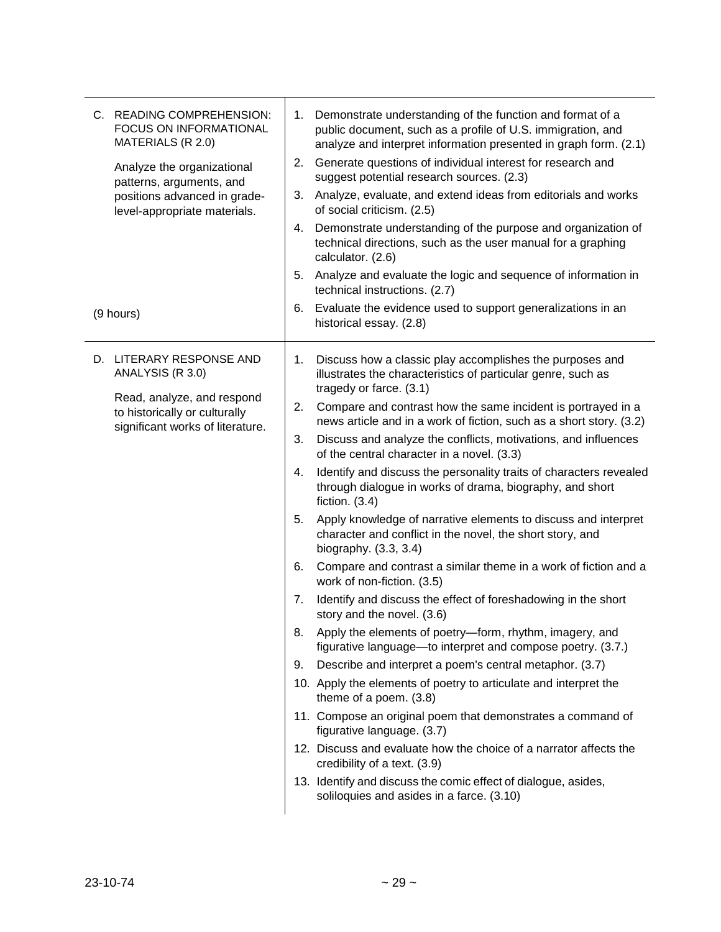| C. READING COMPREHENSION:<br>FOCUS ON INFORMATIONAL<br>MATERIALS (R 2.0)<br>Analyze the organizational<br>patterns, arguments, and<br>positions advanced in grade-<br>level-appropriate materials. | Demonstrate understanding of the function and format of a<br>1.<br>public document, such as a profile of U.S. immigration, and<br>analyze and interpret information presented in graph form. (2.1)<br>Generate questions of individual interest for research and<br>2.<br>suggest potential research sources. (2.3)<br>Analyze, evaluate, and extend ideas from editorials and works<br>3.<br>of social criticism. (2.5)<br>Demonstrate understanding of the purpose and organization of<br>4.<br>technical directions, such as the user manual for a graphing<br>calculator. (2.6)<br>Analyze and evaluate the logic and sequence of information in<br>5.<br>technical instructions. (2.7)                                                                                                                                                                                                                                                                                                                                                                                                                                                                                                                                                                                                                                                                                                                                                                                                                                                                                          |
|----------------------------------------------------------------------------------------------------------------------------------------------------------------------------------------------------|--------------------------------------------------------------------------------------------------------------------------------------------------------------------------------------------------------------------------------------------------------------------------------------------------------------------------------------------------------------------------------------------------------------------------------------------------------------------------------------------------------------------------------------------------------------------------------------------------------------------------------------------------------------------------------------------------------------------------------------------------------------------------------------------------------------------------------------------------------------------------------------------------------------------------------------------------------------------------------------------------------------------------------------------------------------------------------------------------------------------------------------------------------------------------------------------------------------------------------------------------------------------------------------------------------------------------------------------------------------------------------------------------------------------------------------------------------------------------------------------------------------------------------------------------------------------------------------|
| (9 hours)                                                                                                                                                                                          | Evaluate the evidence used to support generalizations in an<br>6.<br>historical essay. (2.8)                                                                                                                                                                                                                                                                                                                                                                                                                                                                                                                                                                                                                                                                                                                                                                                                                                                                                                                                                                                                                                                                                                                                                                                                                                                                                                                                                                                                                                                                                         |
| D. LITERARY RESPONSE AND<br>ANALYSIS (R 3.0)<br>Read, analyze, and respond<br>to historically or culturally<br>significant works of literature.                                                    | Discuss how a classic play accomplishes the purposes and<br>1.<br>illustrates the characteristics of particular genre, such as<br>tragedy or farce. (3.1)<br>Compare and contrast how the same incident is portrayed in a<br>2.<br>news article and in a work of fiction, such as a short story. (3.2)<br>Discuss and analyze the conflicts, motivations, and influences<br>3.<br>of the central character in a novel. (3.3)<br>Identify and discuss the personality traits of characters revealed<br>4.<br>through dialogue in works of drama, biography, and short<br>fiction. $(3.4)$<br>Apply knowledge of narrative elements to discuss and interpret<br>5.<br>character and conflict in the novel, the short story, and<br>biography. $(3.3, 3.4)$<br>Compare and contrast a similar theme in a work of fiction and a<br>6.<br>work of non-fiction. (3.5)<br>Identify and discuss the effect of foreshadowing in the short<br>7.<br>story and the novel. (3.6)<br>Apply the elements of poetry-form, rhythm, imagery, and<br>8.<br>figurative language-to interpret and compose poetry. (3.7.)<br>Describe and interpret a poem's central metaphor. (3.7)<br>9.<br>10. Apply the elements of poetry to articulate and interpret the<br>theme of a poem. (3.8)<br>11. Compose an original poem that demonstrates a command of<br>figurative language. (3.7)<br>12. Discuss and evaluate how the choice of a narrator affects the<br>credibility of a text. (3.9)<br>13. Identify and discuss the comic effect of dialogue, asides,<br>soliloquies and asides in a farce. (3.10) |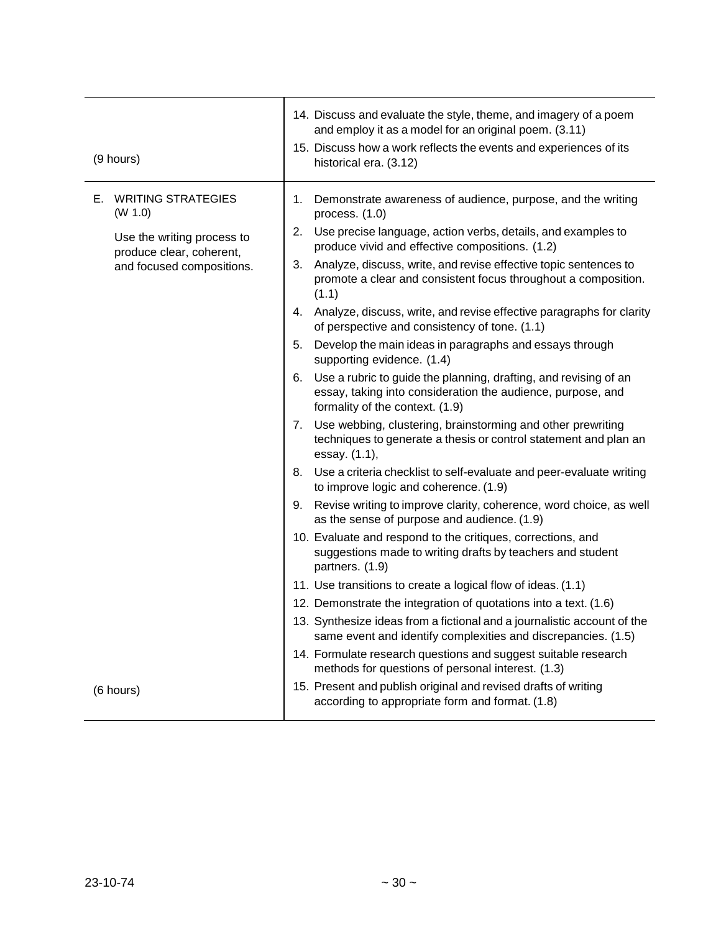| (9 hours)                                              | 14. Discuss and evaluate the style, theme, and imagery of a poem<br>and employ it as a model for an original poem. (3.11)<br>15. Discuss how a work reflects the events and experiences of its<br>historical era. (3.12) |
|--------------------------------------------------------|--------------------------------------------------------------------------------------------------------------------------------------------------------------------------------------------------------------------------|
| E. WRITING STRATEGIES<br>(W 1.0)                       | Demonstrate awareness of audience, purpose, and the writing<br>1.<br>process. (1.0)                                                                                                                                      |
| Use the writing process to<br>produce clear, coherent, | 2. Use precise language, action verbs, details, and examples to<br>produce vivid and effective compositions. (1.2)                                                                                                       |
| and focused compositions.                              | Analyze, discuss, write, and revise effective topic sentences to<br>3.<br>promote a clear and consistent focus throughout a composition.<br>(1.1)                                                                        |
|                                                        | 4. Analyze, discuss, write, and revise effective paragraphs for clarity<br>of perspective and consistency of tone. (1.1)                                                                                                 |
|                                                        | Develop the main ideas in paragraphs and essays through<br>5.<br>supporting evidence. (1.4)                                                                                                                              |
|                                                        | 6. Use a rubric to guide the planning, drafting, and revising of an<br>essay, taking into consideration the audience, purpose, and<br>formality of the context. (1.9)                                                    |
|                                                        | 7. Use webbing, clustering, brainstorming and other prewriting<br>techniques to generate a thesis or control statement and plan an<br>essay. (1.1),                                                                      |
|                                                        | Use a criteria checklist to self-evaluate and peer-evaluate writing<br>8.<br>to improve logic and coherence. (1.9)                                                                                                       |
|                                                        | 9. Revise writing to improve clarity, coherence, word choice, as well<br>as the sense of purpose and audience. (1.9)                                                                                                     |
|                                                        | 10. Evaluate and respond to the critiques, corrections, and<br>suggestions made to writing drafts by teachers and student<br>partners. (1.9)                                                                             |
|                                                        | 11. Use transitions to create a logical flow of ideas. (1.1)                                                                                                                                                             |
|                                                        | 12. Demonstrate the integration of quotations into a text. (1.6)                                                                                                                                                         |
|                                                        | 13. Synthesize ideas from a fictional and a journalistic account of the<br>same event and identify complexities and discrepancies. (1.5)                                                                                 |
|                                                        | 14. Formulate research questions and suggest suitable research<br>methods for questions of personal interest. (1.3)                                                                                                      |
| (6 hours)                                              | 15. Present and publish original and revised drafts of writing<br>according to appropriate form and format. (1.8)                                                                                                        |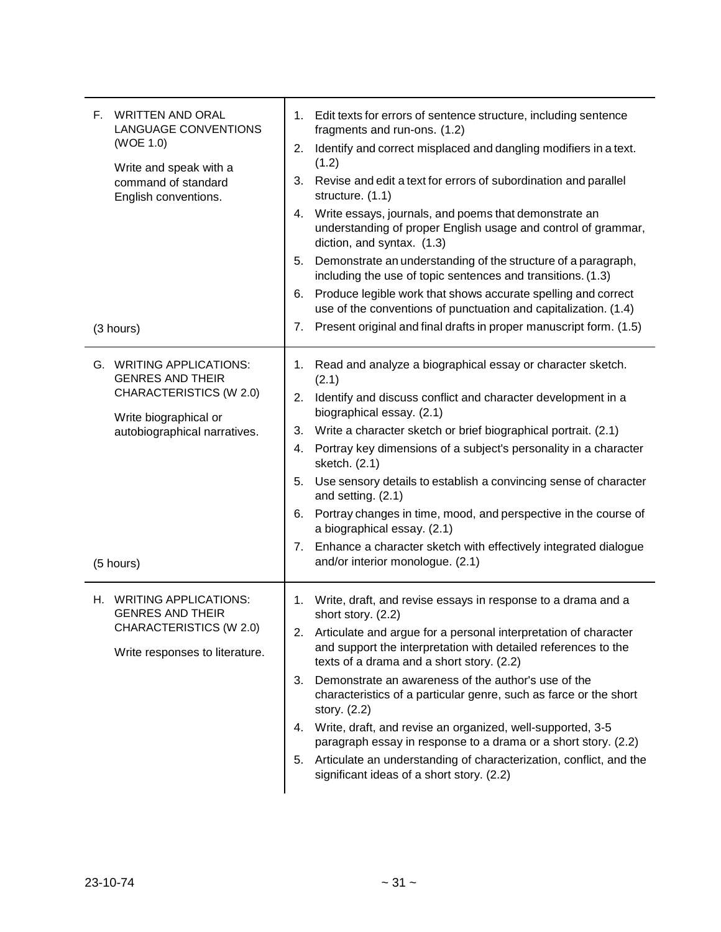| Е.<br><b>WRITTEN AND ORAL</b><br><b>LANGUAGE CONVENTIONS</b><br>(WOE 1.0)<br>Write and speak with a<br>command of standard<br>English conventions.          | 1. Edit texts for errors of sentence structure, including sentence<br>fragments and run-ons. (1.2)<br>Identify and correct misplaced and dangling modifiers in a text.<br>2.<br>(1.2)<br>Revise and edit a text for errors of subordination and parallel<br>3.<br>structure. (1.1)<br>Write essays, journals, and poems that demonstrate an<br>4.<br>understanding of proper English usage and control of grammar,<br>diction, and syntax. (1.3)<br>Demonstrate an understanding of the structure of a paragraph,<br>5.<br>including the use of topic sentences and transitions. (1.3)<br>Produce legible work that shows accurate spelling and correct<br>6.<br>use of the conventions of punctuation and capitalization. (1.4) |
|-------------------------------------------------------------------------------------------------------------------------------------------------------------|----------------------------------------------------------------------------------------------------------------------------------------------------------------------------------------------------------------------------------------------------------------------------------------------------------------------------------------------------------------------------------------------------------------------------------------------------------------------------------------------------------------------------------------------------------------------------------------------------------------------------------------------------------------------------------------------------------------------------------|
| (3 hours)                                                                                                                                                   | Present original and final drafts in proper manuscript form. (1.5)<br>7.                                                                                                                                                                                                                                                                                                                                                                                                                                                                                                                                                                                                                                                         |
| G. WRITING APPLICATIONS:<br><b>GENRES AND THEIR</b><br><b>CHARACTERISTICS (W 2.0)</b><br>Write biographical or<br>autobiographical narratives.<br>(5 hours) | Read and analyze a biographical essay or character sketch.<br>1.<br>(2.1)<br>Identify and discuss conflict and character development in a<br>2.<br>biographical essay. (2.1)<br>Write a character sketch or brief biographical portrait. (2.1)<br>3.<br>Portray key dimensions of a subject's personality in a character<br>4.<br>sketch. (2.1)<br>Use sensory details to establish a convincing sense of character<br>5.<br>and setting. (2.1)<br>Portray changes in time, mood, and perspective in the course of<br>6.<br>a biographical essay. (2.1)<br>Enhance a character sketch with effectively integrated dialogue<br>7.<br>and/or interior monologue. (2.1)                                                             |
| H. WRITING APPLICATIONS:<br><b>GENRES AND THEIR</b><br>CHARACTERISTICS (W 2.0)<br>Write responses to literature.                                            | Write, draft, and revise essays in response to a drama and a<br>1.<br>short story. (2.2)<br>Articulate and argue for a personal interpretation of character<br>2.<br>and support the interpretation with detailed references to the<br>texts of a drama and a short story. (2.2)<br>Demonstrate an awareness of the author's use of the<br>3.<br>characteristics of a particular genre, such as farce or the short<br>story. (2.2)<br>Write, draft, and revise an organized, well-supported, 3-5<br>4.<br>paragraph essay in response to a drama or a short story. (2.2)<br>5. Articulate an understanding of characterization, conflict, and the<br>significant ideas of a short story. (2.2)                                   |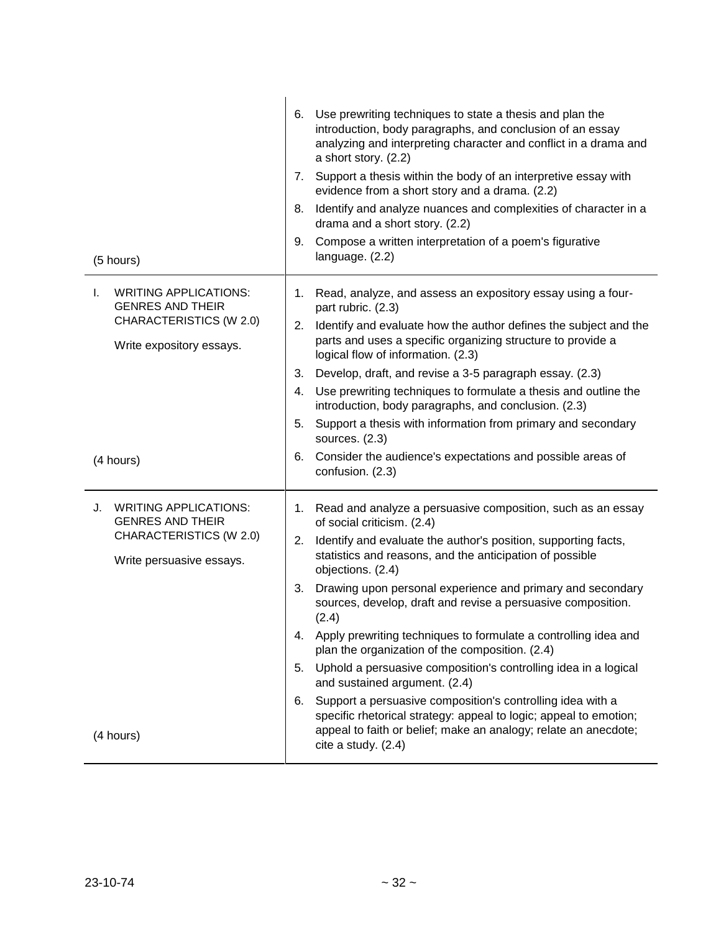| (5 hours)                                                                                                                   | Use prewriting techniques to state a thesis and plan the<br>6.<br>introduction, body paragraphs, and conclusion of an essay<br>analyzing and interpreting character and conflict in a drama and<br>a short story. (2.2)<br>7. Support a thesis within the body of an interpretive essay with<br>evidence from a short story and a drama. (2.2)<br>Identify and analyze nuances and complexities of character in a<br>8.<br>drama and a short story. (2.2)<br>Compose a written interpretation of a poem's figurative<br>9.<br>language. $(2.2)$                                                                                                                                                                                                                                   |
|-----------------------------------------------------------------------------------------------------------------------------|-----------------------------------------------------------------------------------------------------------------------------------------------------------------------------------------------------------------------------------------------------------------------------------------------------------------------------------------------------------------------------------------------------------------------------------------------------------------------------------------------------------------------------------------------------------------------------------------------------------------------------------------------------------------------------------------------------------------------------------------------------------------------------------|
| <b>WRITING APPLICATIONS:</b><br>L.<br><b>GENRES AND THEIR</b><br><b>CHARACTERISTICS (W 2.0)</b><br>Write expository essays. | Read, analyze, and assess an expository essay using a four-<br>1.<br>part rubric. (2.3)<br>Identify and evaluate how the author defines the subject and the<br>2.<br>parts and uses a specific organizing structure to provide a<br>logical flow of information. (2.3)<br>Develop, draft, and revise a 3-5 paragraph essay. (2.3)<br>3.<br>Use prewriting techniques to formulate a thesis and outline the<br>4.<br>introduction, body paragraphs, and conclusion. (2.3)<br>Support a thesis with information from primary and secondary<br>5.<br>sources. $(2.3)$                                                                                                                                                                                                                |
| (4 hours)                                                                                                                   | Consider the audience's expectations and possible areas of<br>6.<br>confusion. (2.3)                                                                                                                                                                                                                                                                                                                                                                                                                                                                                                                                                                                                                                                                                              |
| <b>WRITING APPLICATIONS:</b><br>J.<br><b>GENRES AND THEIR</b><br><b>CHARACTERISTICS (W 2.0)</b><br>Write persuasive essays. | Read and analyze a persuasive composition, such as an essay<br>1.<br>of social criticism. (2.4)<br>Identify and evaluate the author's position, supporting facts,<br>2.<br>statistics and reasons, and the anticipation of possible<br>objections. (2.4)<br>Drawing upon personal experience and primary and secondary<br>3.<br>sources, develop, draft and revise a persuasive composition.<br>(2.4)<br>4. Apply prewriting techniques to formulate a controlling idea and<br>plan the organization of the composition. (2.4)<br>Uphold a persuasive composition's controlling idea in a logical<br>5.<br>and sustained argument. (2.4)<br>Support a persuasive composition's controlling idea with a<br>6.<br>specific rhetorical strategy: appeal to logic; appeal to emotion; |
| (4 hours)                                                                                                                   | appeal to faith or belief; make an analogy; relate an anecdote;<br>cite a study. (2.4)                                                                                                                                                                                                                                                                                                                                                                                                                                                                                                                                                                                                                                                                                            |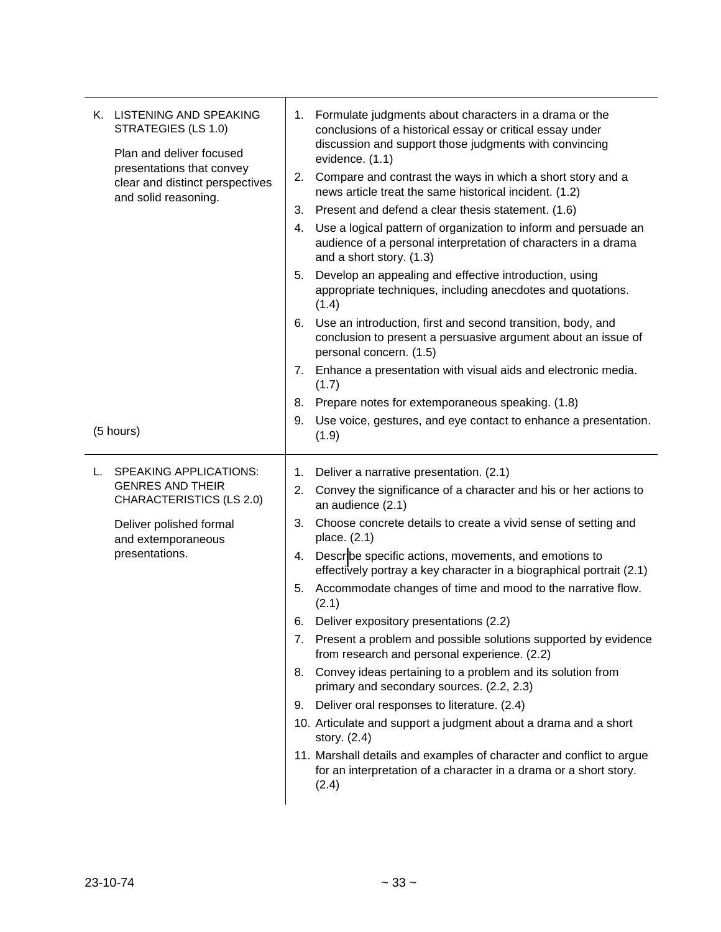|    | K. LISTENING AND SPEAKING<br>STRATEGIES (LS 1.0)<br>Plan and deliver focused<br>presentations that convey |    | 1. Formulate judgments about characters in a drama or the<br>conclusions of a historical essay or critical essay under<br>discussion and support those judgments with convincing<br>evidence. (1.1) |
|----|-----------------------------------------------------------------------------------------------------------|----|-----------------------------------------------------------------------------------------------------------------------------------------------------------------------------------------------------|
|    | clear and distinct perspectives<br>and solid reasoning.                                                   | 2. | Compare and contrast the ways in which a short story and a<br>news article treat the same historical incident. (1.2)                                                                                |
|    |                                                                                                           | 3. | Present and defend a clear thesis statement. (1.6)                                                                                                                                                  |
|    |                                                                                                           | 4. | Use a logical pattern of organization to inform and persuade an<br>audience of a personal interpretation of characters in a drama<br>and a short story. (1.3)                                       |
|    |                                                                                                           | 5. | Develop an appealing and effective introduction, using<br>appropriate techniques, including anecdotes and quotations.<br>(1.4)                                                                      |
|    |                                                                                                           | 6. | Use an introduction, first and second transition, body, and<br>conclusion to present a persuasive argument about an issue of<br>personal concern. (1.5)                                             |
|    |                                                                                                           |    | 7. Enhance a presentation with visual aids and electronic media.<br>(1.7)                                                                                                                           |
|    |                                                                                                           | 8. | Prepare notes for extemporaneous speaking. (1.8)                                                                                                                                                    |
|    | (5 hours)                                                                                                 | 9. | Use voice, gestures, and eye contact to enhance a presentation.<br>(1.9)                                                                                                                            |
|    |                                                                                                           |    |                                                                                                                                                                                                     |
| L. | <b>SPEAKING APPLICATIONS:</b>                                                                             | 1. | Deliver a narrative presentation. (2.1)                                                                                                                                                             |
|    | <b>GENRES AND THEIR</b><br>CHARACTERISTICS (LS 2.0)                                                       | 2. | Convey the significance of a character and his or her actions to<br>an audience (2.1)                                                                                                               |
|    | Deliver polished formal<br>and extemporaneous                                                             | 3. | Choose concrete details to create a vivid sense of setting and<br>place. (2.1)                                                                                                                      |
|    | presentations.                                                                                            | 4. | Describe specific actions, movements, and emotions to<br>effectively portray a key character in a biographical portrait (2.1)                                                                       |
|    |                                                                                                           | 5. | Accommodate changes of time and mood to the narrative flow.<br>(2.1)                                                                                                                                |
|    |                                                                                                           | 6. | Deliver expository presentations (2.2)                                                                                                                                                              |
|    |                                                                                                           |    | 7. Present a problem and possible solutions supported by evidence<br>from research and personal experience. (2.2)                                                                                   |
|    |                                                                                                           | 8. | Convey ideas pertaining to a problem and its solution from<br>primary and secondary sources. (2.2, 2.3)                                                                                             |
|    |                                                                                                           | 9. | Deliver oral responses to literature. (2.4)                                                                                                                                                         |
|    |                                                                                                           |    | 10. Articulate and support a judgment about a drama and a short<br>story. (2.4)                                                                                                                     |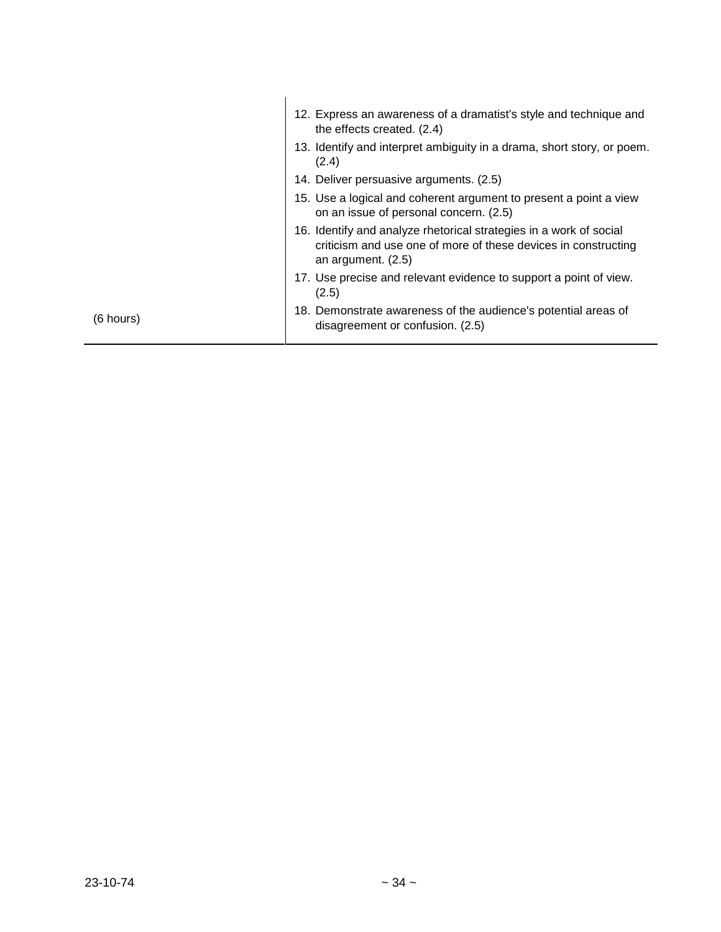|           | 12. Express an awareness of a dramatist's style and technique and<br>the effects created. (2.4)                                                            |
|-----------|------------------------------------------------------------------------------------------------------------------------------------------------------------|
|           | 13. Identify and interpret ambiguity in a drama, short story, or poem.<br>(2.4)                                                                            |
|           | 14. Deliver persuasive arguments. (2.5)                                                                                                                    |
|           | 15. Use a logical and coherent argument to present a point a view<br>on an issue of personal concern. (2.5)                                                |
|           | 16. Identify and analyze rhetorical strategies in a work of social<br>criticism and use one of more of these devices in constructing<br>an argument. (2.5) |
|           | 17. Use precise and relevant evidence to support a point of view.<br>(2.5)                                                                                 |
| (6 hours) | 18. Demonstrate awareness of the audience's potential areas of<br>disagreement or confusion. (2.5)                                                         |
|           |                                                                                                                                                            |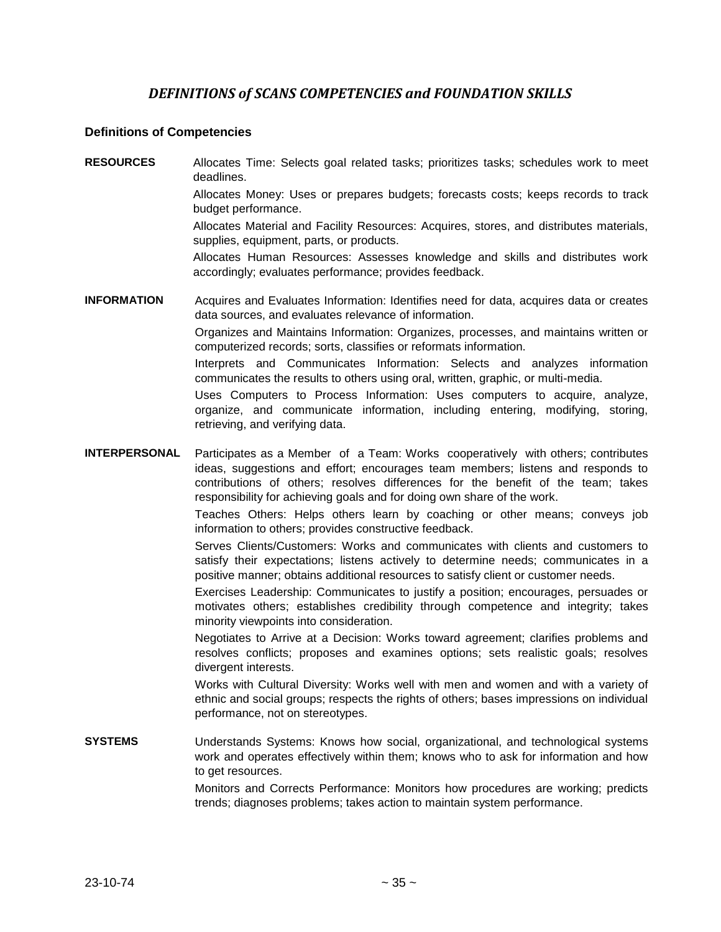## *DEFINITIONS of SCANS COMPETENCIES and FOUNDATION SKILLS*

#### **Definitions of Competencies**

**RESOURCES** Allocates Time: Selects goal related tasks; prioritizes tasks; schedules work to meet deadlines.

> Allocates Money: Uses or prepares budgets; forecasts costs; keeps records to track budget performance.

> Allocates Material and Facility Resources: Acquires, stores, and distributes materials, supplies, equipment, parts, or products.

> Allocates Human Resources: Assesses knowledge and skills and distributes work accordingly; evaluates performance; provides feedback.

**INFORMATION** Acquires and Evaluates Information: Identifies need for data, acquires data or creates data sources, and evaluates relevance of information.

> Organizes and Maintains Information: Organizes, processes, and maintains written or computerized records; sorts, classifies or reformats information.

> Interprets and Communicates Information: Selects and analyzes information communicates the results to others using oral, written, graphic, or multi-media.

> Uses Computers to Process Information: Uses computers to acquire, analyze, organize, and communicate information, including entering, modifying, storing, retrieving, and verifying data.

**INTERPERSONAL** Participates as a Member of a Team: Works cooperatively with others; contributes ideas, suggestions and effort; encourages team members; listens and responds to contributions of others; resolves differences for the benefit of the team; takes responsibility for achieving goals and for doing own share of the work.

> Teaches Others: Helps others learn by coaching or other means; conveys job information to others; provides constructive feedback.

> Serves Clients/Customers: Works and communicates with clients and customers to satisfy their expectations; listens actively to determine needs; communicates in a positive manner; obtains additional resources to satisfy client or customer needs.

> Exercises Leadership: Communicates to justify a position; encourages, persuades or motivates others; establishes credibility through competence and integrity; takes minority viewpoints into consideration.

> Negotiates to Arrive at a Decision: Works toward agreement; clarifies problems and resolves conflicts; proposes and examines options; sets realistic goals; resolves divergent interests.

> Works with Cultural Diversity: Works well with men and women and with a variety of ethnic and social groups; respects the rights of others; bases impressions on individual performance, not on stereotypes.

**SYSTEMS** Understands Systems: Knows how social, organizational, and technological systems work and operates effectively within them; knows who to ask for information and how to get resources.

Monitors and Corrects Performance: Monitors how procedures are working; predicts trends; diagnoses problems; takes action to maintain system performance.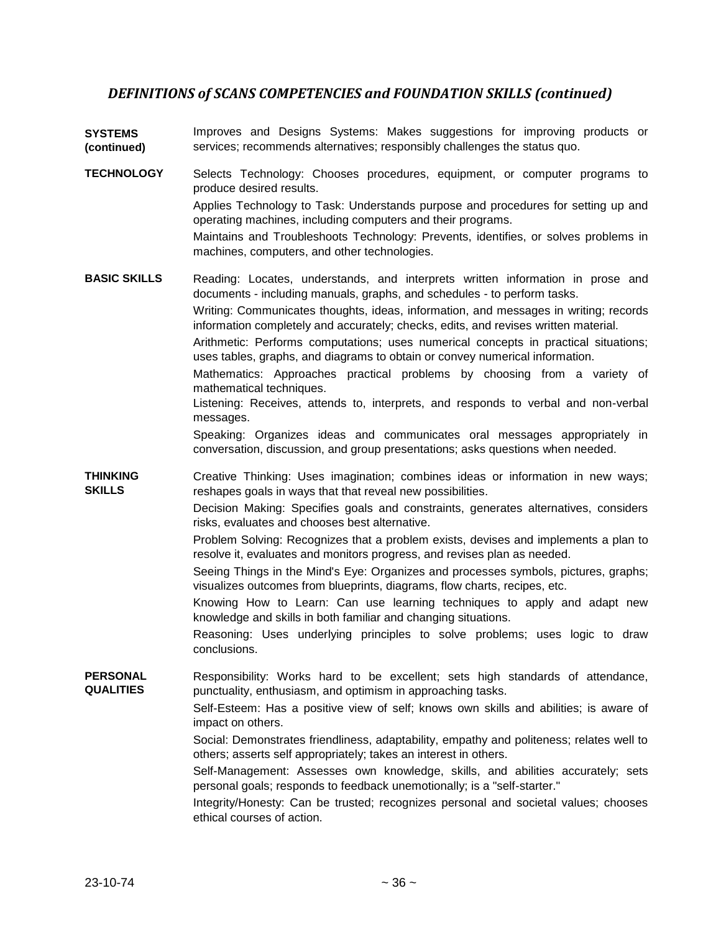## *DEFINITIONS of SCANS COMPETENCIES and FOUNDATION SKILLS (continued)*

**SYSTEMS (continued)** Improves and Designs Systems: Makes suggestions for improving products or services; recommends alternatives; responsibly challenges the status quo.

**TECHNOLOGY** Selects Technology: Chooses procedures, equipment, or computer programs to produce desired results. Applies Technology to Task: Understands purpose and procedures for setting up and operating machines, including computers and their programs. Maintains and Troubleshoots Technology: Prevents, identifies, or solves problems in machines, computers, and other technologies.

**BASIC SKILLS** Reading: Locates, understands, and interprets written information in prose and documents - including manuals, graphs, and schedules - to perform tasks. Writing: Communicates thoughts, ideas, information, and messages in writing; records information completely and accurately; checks, edits, and revises written material. Arithmetic: Performs computations; uses numerical concepts in practical situations; uses tables, graphs, and diagrams to obtain or convey numerical information. Mathematics: Approaches practical problems by choosing from a variety of mathematical techniques. Listening: Receives, attends to, interprets, and responds to verbal and non-verbal

> messages. Speaking: Organizes ideas and communicates oral messages appropriately in

> conversation, discussion, and group presentations; asks questions when needed.

**THINKING SKILLS** Creative Thinking: Uses imagination; combines ideas or information in new ways; reshapes goals in ways that that reveal new possibilities.

> Decision Making: Specifies goals and constraints, generates alternatives, considers risks, evaluates and chooses best alternative.

> Problem Solving: Recognizes that a problem exists, devises and implements a plan to resolve it, evaluates and monitors progress, and revises plan as needed.

> Seeing Things in the Mind's Eye: Organizes and processes symbols, pictures, graphs; visualizes outcomes from blueprints, diagrams, flow charts, recipes, etc.

> Knowing How to Learn: Can use learning techniques to apply and adapt new knowledge and skills in both familiar and changing situations.

> Reasoning: Uses underlying principles to solve problems; uses logic to draw conclusions.

**PERSONAL QUALITIES** Responsibility: Works hard to be excellent; sets high standards of attendance, punctuality, enthusiasm, and optimism in approaching tasks.

> Self-Esteem: Has a positive view of self; knows own skills and abilities; is aware of impact on others.

> Social: Demonstrates friendliness, adaptability, empathy and politeness; relates well to others; asserts self appropriately; takes an interest in others.

> Self-Management: Assesses own knowledge, skills, and abilities accurately; sets personal goals; responds to feedback unemotionally; is a "self-starter."

> Integrity/Honesty: Can be trusted; recognizes personal and societal values; chooses ethical courses of action.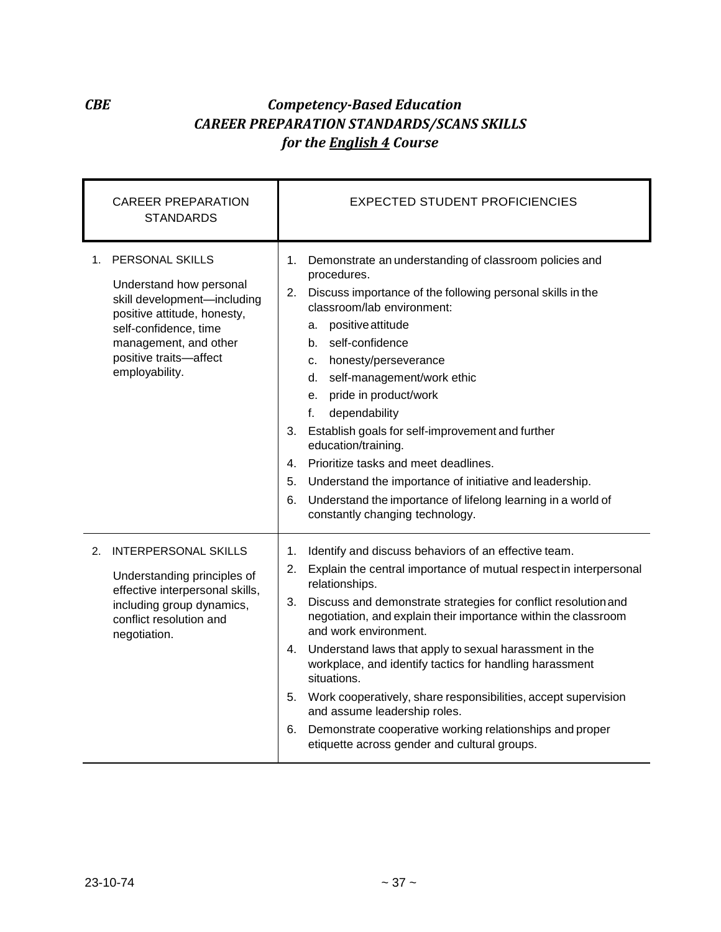# *CBE Competency-Based Education CAREER PREPARATION STANDARDS/SCANS SKILLS for the English 4 Course*

| <b>CAREER PREPARATION</b><br><b>STANDARDS</b>                                                                                                                                                             | <b>EXPECTED STUDENT PROFICIENCIES</b>                                                                                                                                                                                                                                                                                                                                                                                                                                                                                                                                                                                                                                                      |
|-----------------------------------------------------------------------------------------------------------------------------------------------------------------------------------------------------------|--------------------------------------------------------------------------------------------------------------------------------------------------------------------------------------------------------------------------------------------------------------------------------------------------------------------------------------------------------------------------------------------------------------------------------------------------------------------------------------------------------------------------------------------------------------------------------------------------------------------------------------------------------------------------------------------|
| 1. PERSONAL SKILLS<br>Understand how personal<br>skill development-including<br>positive attitude, honesty,<br>self-confidence, time<br>management, and other<br>positive traits-affect<br>employability. | Demonstrate an understanding of classroom policies and<br>1.<br>procedures.<br>2.<br>Discuss importance of the following personal skills in the<br>classroom/lab environment:<br>a. positive attitude<br>b. self-confidence<br>c. honesty/perseverance<br>self-management/work ethic<br>d.<br>e. pride in product/work<br>$f_{\rm{r}}$<br>dependability<br>3. Establish goals for self-improvement and further<br>education/training.<br>4. Prioritize tasks and meet deadlines.<br>5. Understand the importance of initiative and leadership.<br>Understand the importance of lifelong learning in a world of<br>6.<br>constantly changing technology.                                    |
| <b>INTERPERSONAL SKILLS</b><br>2.<br>Understanding principles of<br>effective interpersonal skills,<br>including group dynamics,<br>conflict resolution and<br>negotiation.                               | Identify and discuss behaviors of an effective team.<br>1.<br>2.<br>Explain the central importance of mutual respectin interpersonal<br>relationships.<br>Discuss and demonstrate strategies for conflict resolution and<br>3.<br>negotiation, and explain their importance within the classroom<br>and work environment.<br>Understand laws that apply to sexual harassment in the<br>4.<br>workplace, and identify tactics for handling harassment<br>situations.<br>5. Work cooperatively, share responsibilities, accept supervision<br>and assume leadership roles.<br>Demonstrate cooperative working relationships and proper<br>6.<br>etiquette across gender and cultural groups. |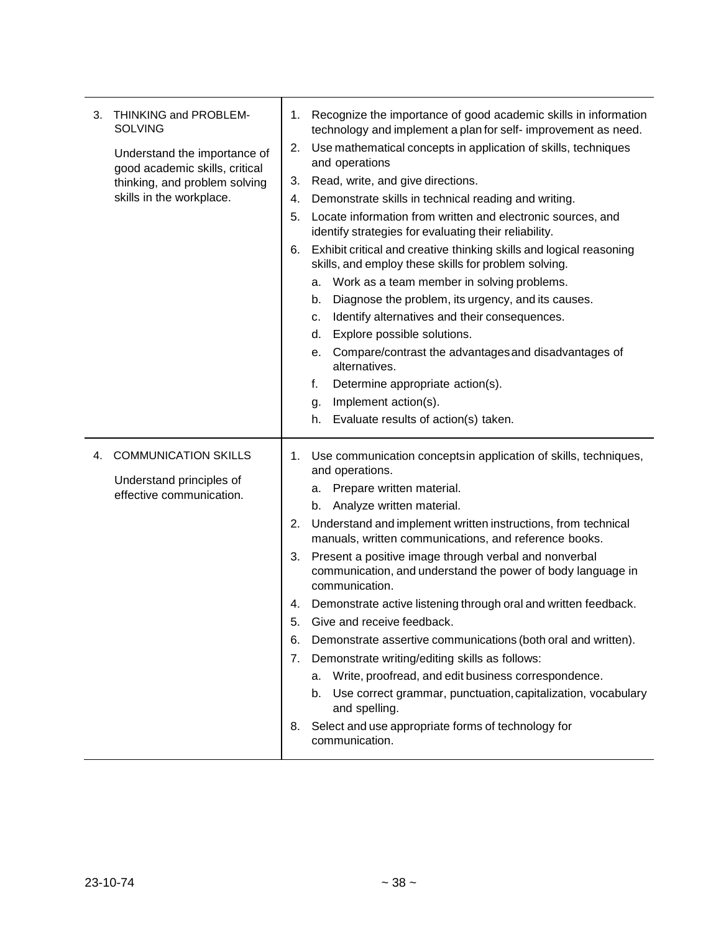| THINKING and PROBLEM-<br>3.<br><b>SOLVING</b><br>Understand the importance of<br>good academic skills, critical<br>thinking, and problem solving<br>skills in the workplace. | Recognize the importance of good academic skills in information<br>1.<br>technology and implement a plan for self- improvement as need.<br>Use mathematical concepts in application of skills, techniques<br>2.<br>and operations<br>Read, write, and give directions.<br>3.<br>Demonstrate skills in technical reading and writing.<br>4.<br>Locate information from written and electronic sources, and<br>5.<br>identify strategies for evaluating their reliability.<br>Exhibit critical and creative thinking skills and logical reasoning<br>6.<br>skills, and employ these skills for problem solving.<br>a. Work as a team member in solving problems.<br>Diagnose the problem, its urgency, and its causes.<br>b.<br>Identify alternatives and their consequences.<br>c.<br>Explore possible solutions.<br>d.<br>Compare/contrast the advantages and disadvantages of<br>е.<br>alternatives.<br>Determine appropriate action(s).<br>f.<br>Implement action(s).<br>g.<br>Evaluate results of action(s) taken.<br>h. |
|------------------------------------------------------------------------------------------------------------------------------------------------------------------------------|-----------------------------------------------------------------------------------------------------------------------------------------------------------------------------------------------------------------------------------------------------------------------------------------------------------------------------------------------------------------------------------------------------------------------------------------------------------------------------------------------------------------------------------------------------------------------------------------------------------------------------------------------------------------------------------------------------------------------------------------------------------------------------------------------------------------------------------------------------------------------------------------------------------------------------------------------------------------------------------------------------------------------------|
| <b>COMMUNICATION SKILLS</b><br>4.<br>Understand principles of<br>effective communication.                                                                                    | Use communication concepts in application of skills, techniques,<br>1.<br>and operations.<br>Prepare written material.<br>а.<br>Analyze written material.<br>b.<br>Understand and implement written instructions, from technical<br>2.<br>manuals, written communications, and reference books.<br>Present a positive image through verbal and nonverbal<br>3.<br>communication, and understand the power of body language in<br>communication.<br>Demonstrate active listening through oral and written feedback.<br>4.<br>5.<br>Give and receive feedback.<br>Demonstrate assertive communications (both oral and written).<br>6.<br>Demonstrate writing/editing skills as follows:<br>7.<br>Write, proofread, and edit business correspondence.<br>a.<br>Use correct grammar, punctuation, capitalization, vocabulary<br>b.<br>and spelling.<br>Select and use appropriate forms of technology for<br>8.<br>communication.                                                                                               |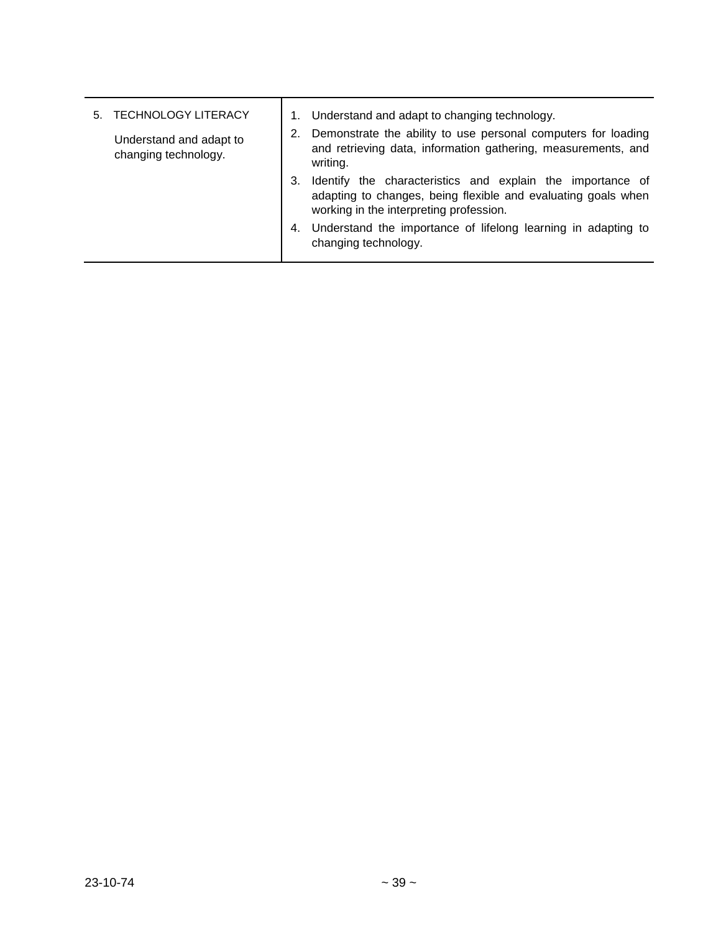| 5. | <b>TECHNOLOGY LITERACY</b><br>Understand and adapt to<br>changing technology. |    | 1. Understand and adapt to changing technology.<br>Demonstrate the ability to use personal computers for loading<br>and retrieving data, information gathering, measurements, and<br>writing. |
|----|-------------------------------------------------------------------------------|----|-----------------------------------------------------------------------------------------------------------------------------------------------------------------------------------------------|
|    |                                                                               | 3. | Identify the characteristics and explain the importance of<br>adapting to changes, being flexible and evaluating goals when<br>working in the interpreting profession.                        |
|    |                                                                               | 4. | Understand the importance of lifelong learning in adapting to<br>changing technology.                                                                                                         |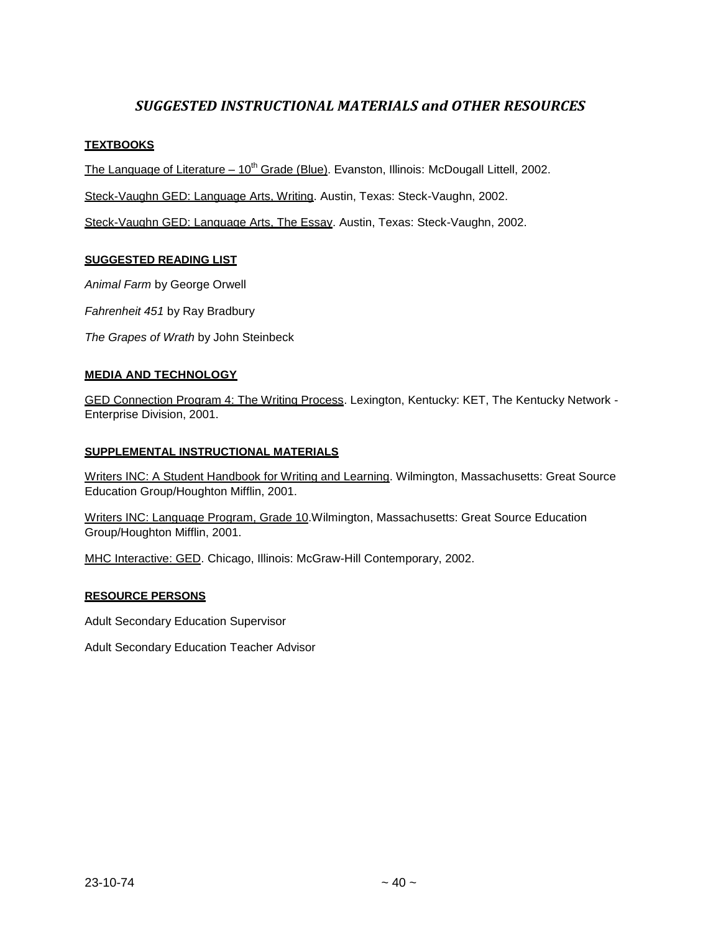## *SUGGESTED INSTRUCTIONAL MATERIALS and OTHER RESOURCES*

#### **TEXTBOOKS**

The Language of Literature –  $10^{th}$  Grade (Blue). Evanston, Illinois: McDougall Littell, 2002.

Steck-Vaughn GED: Language Arts, Writing. Austin, Texas: Steck-Vaughn, 2002.

Steck-Vaughn GED: Language Arts, The Essay. Austin, Texas: Steck-Vaughn, 2002.

#### **SUGGESTED READING LIST**

*Animal Farm* by George Orwell

*Fahrenheit 451* by Ray Bradbury

*The Grapes of Wrath* by John Steinbeck

#### **MEDIA AND TECHNOLOGY**

GED Connection Program 4: The Writing Process. Lexington, Kentucky: KET, The Kentucky Network - Enterprise Division, 2001.

#### **SUPPLEMENTAL INSTRUCTIONAL MATERIALS**

Writers INC: A Student Handbook for Writing and Learning. Wilmington, Massachusetts: Great Source Education Group/Houghton Mifflin, 2001.

Writers INC: Language Program, Grade 10.Wilmington, Massachusetts: Great Source Education Group/Houghton Mifflin, 2001.

MHC Interactive: GED. Chicago, Illinois: McGraw-Hill Contemporary, 2002.

#### **RESOURCE PERSONS**

Adult Secondary Education Supervisor

Adult Secondary Education Teacher Advisor